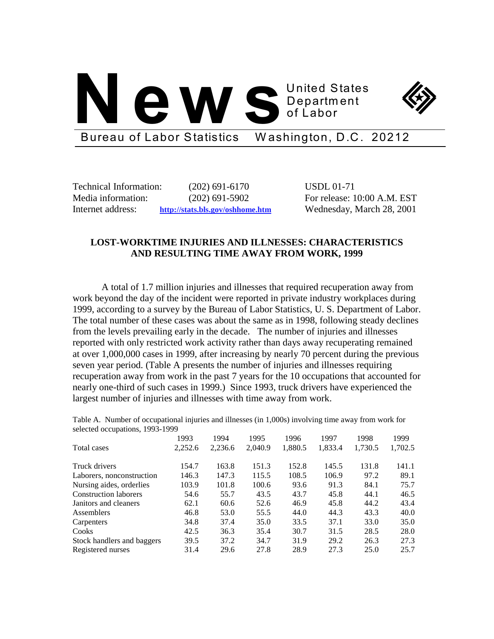# **1HZV S** United States Department of Labor



Bureau of Labor Statistics Washington, D.C. 20212

Technical Information: (202) 691-6170 USDL 01-71

Media information: (202) 691-5902 For release: 10:00 A.M. EST Internet address: **http://stats.bls.gov/oshhome.htm** Wednesday, March 28, 2001

## **LOST-WORKTIME INJURIES AND ILLNESSES: CHARACTERISTICS AND RESULTING TIME AWAY FROM WORK, 1999**

A total of 1.7 million injuries and illnesses that required recuperation away from work beyond the day of the incident were reported in private industry workplaces during 1999, according to a survey by the Bureau of Labor Statistics, U. S. Department of Labor. The total number of these cases was about the same as in 1998, following steady declines from the levels prevailing early in the decade. The number of injuries and illnesses reported with only restricted work activity rather than days away recuperating remained at over 1,000,000 cases in 1999, after increasing by nearly 70 percent during the previous seven year period. (Table A presents the number of injuries and illnesses requiring recuperation away from work in the past 7 years for the 10 occupations that accounted for nearly one-third of such cases in 1999.) Since 1993, truck drivers have experienced the largest number of injuries and illnesses with time away from work.

Table A. Number of occupational injuries and illnesses (in 1,000s) involving time away from work for selected occupations, 1993-1999

|                              | 1993    | 1994    | 1995    | 1996    | 1997    | 1998    | 1999    |
|------------------------------|---------|---------|---------|---------|---------|---------|---------|
| Total cases                  | 2,252.6 | 2,236.6 | 2,040.9 | 1,880.5 | 1,833.4 | 1,730.5 | 1,702.5 |
| Truck drivers                | 154.7   | 163.8   | 151.3   | 152.8   | 145.5   | 131.8   | 141.1   |
| Laborers, nonconstruction    | 146.3   | 147.3   | 115.5   | 108.5   | 106.9   | 97.2    | 89.1    |
| Nursing aides, orderlies     | 103.9   | 101.8   | 100.6   | 93.6    | 91.3    | 84.1    | 75.7    |
| <b>Construction laborers</b> | 54.6    | 55.7    | 43.5    | 43.7    | 45.8    | 44.1    | 46.5    |
| Janitors and cleaners        | 62.1    | 60.6    | 52.6    | 46.9    | 45.8    | 44.2    | 43.4    |
| Assemblers                   | 46.8    | 53.0    | 55.5    | 44.0    | 44.3    | 43.3    | 40.0    |
| Carpenters                   | 34.8    | 37.4    | 35.0    | 33.5    | 37.1    | 33.0    | 35.0    |
| Cooks                        | 42.5    | 36.3    | 35.4    | 30.7    | 31.5    | 28.5    | 28.0    |
| Stock handlers and baggers   | 39.5    | 37.2    | 34.7    | 31.9    | 29.2    | 26.3    | 27.3    |
| Registered nurses            | 31.4    | 29.6    | 27.8    | 28.9    | 27.3    | 25.0    | 25.7    |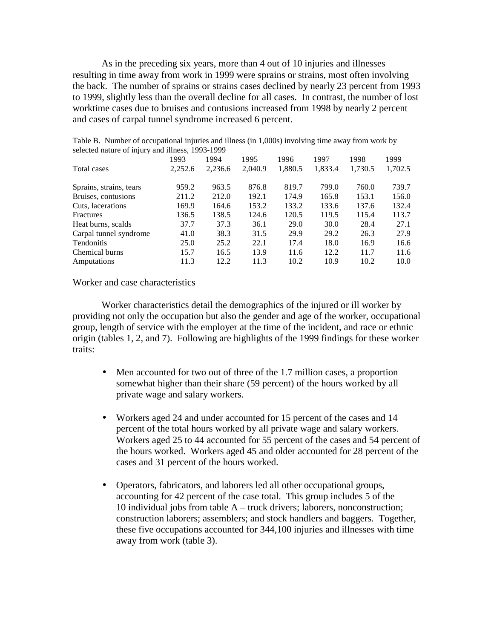As in the preceding six years, more than 4 out of 10 injuries and illnesses resulting in time away from work in 1999 were sprains or strains, most often involving the back. The number of sprains or strains cases declined by nearly 23 percent from 1993 to 1999, slightly less than the overall decline for all cases. In contrast, the number of lost worktime cases due to bruises and contusions increased from 1998 by nearly 2 percent and cases of carpal tunnel syndrome increased 6 percent.

| $\alpha$ selected hattle of $\alpha$ in the same impless, $\alpha$ is $\beta$ |         |         |         |         |         |         |         |
|-------------------------------------------------------------------------------|---------|---------|---------|---------|---------|---------|---------|
|                                                                               | 1993    | 1994    | 1995    | 1996    | 1997    | 1998    | 1999    |
| Total cases                                                                   | 2,252.6 | 2,236.6 | 2,040.9 | 1,880.5 | 1,833.4 | 1,730.5 | 1,702.5 |
| Sprains, strains, tears                                                       | 959.2   | 963.5   | 876.8   | 819.7   | 799.0   | 760.0   | 739.7   |
| Bruises, contusions                                                           | 211.2   | 212.0   | 192.1   | 174.9   | 165.8   | 153.1   | 156.0   |
| Cuts, lacerations                                                             | 169.9   | 164.6   | 153.2   | 133.2   | 133.6   | 137.6   | 132.4   |
| Fractures                                                                     | 136.5   | 138.5   | 124.6   | 120.5   | 119.5   | 115.4   | 113.7   |
| Heat burns, scalds                                                            | 37.7    | 37.3    | 36.1    | 29.0    | 30.0    | 28.4    | 27.1    |
| Carpal tunnel syndrome                                                        | 41.0    | 38.3    | 31.5    | 29.9    | 29.2    | 26.3    | 27.9    |
| Tendonitis                                                                    | 25.0    | 25.2    | 22.1    | 17.4    | 18.0    | 16.9    | 16.6    |
| Chemical burns                                                                | 15.7    | 16.5    | 13.9    | 11.6    | 12.2    | 11.7    | 11.6    |
| Amputations                                                                   | 11.3    | 12.2.   | 11.3    | 10.2    | 10.9    | 10.2    | 10.0    |

Table B. Number of occupational injuries and illness (in 1,000s) involving time away from work by selected nature of injury and illness, 1993-1999

### Worker and case characteristics

Worker characteristics detail the demographics of the injured or ill worker by providing not only the occupation but also the gender and age of the worker, occupational group, length of service with the employer at the time of the incident, and race or ethnic origin (tables 1, 2, and 7). Following are highlights of the 1999 findings for these worker traits:

- Men accounted for two out of three of the 1.7 million cases, a proportion somewhat higher than their share (59 percent) of the hours worked by all private wage and salary workers.
- Workers aged 24 and under accounted for 15 percent of the cases and 14 percent of the total hours worked by all private wage and salary workers. Workers aged 25 to 44 accounted for 55 percent of the cases and 54 percent of the hours worked. Workers aged 45 and older accounted for 28 percent of the cases and 31 percent of the hours worked.
- Operators, fabricators, and laborers led all other occupational groups, accounting for 42 percent of the case total. This group includes 5 of the 10 individual jobs from table A – truck drivers; laborers, nonconstruction; construction laborers; assemblers; and stock handlers and baggers. Together, these five occupations accounted for 344,100 injuries and illnesses with time away from work (table 3).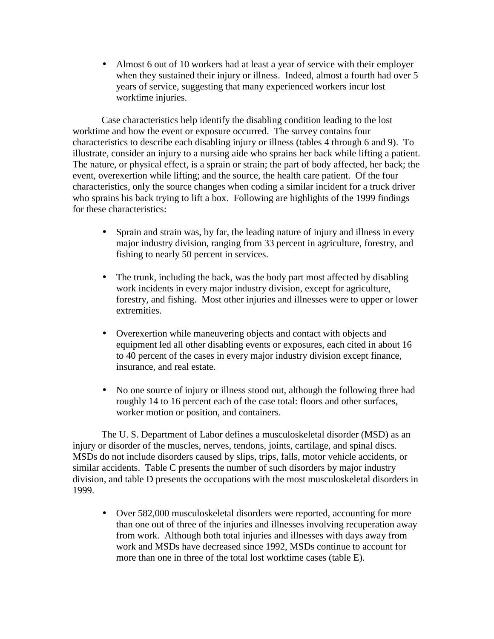• Almost 6 out of 10 workers had at least a year of service with their employer when they sustained their injury or illness. Indeed, almost a fourth had over 5 years of service, suggesting that many experienced workers incur lost worktime injuries.

Case characteristics help identify the disabling condition leading to the lost worktime and how the event or exposure occurred. The survey contains four characteristics to describe each disabling injury or illness (tables 4 through 6 and 9). To illustrate, consider an injury to a nursing aide who sprains her back while lifting a patient. The nature, or physical effect, is a sprain or strain; the part of body affected, her back; the event, overexertion while lifting; and the source, the health care patient. Of the four characteristics, only the source changes when coding a similar incident for a truck driver who sprains his back trying to lift a box. Following are highlights of the 1999 findings for these characteristics:

- Sprain and strain was, by far, the leading nature of injury and illness in every major industry division, ranging from 33 percent in agriculture, forestry, and fishing to nearly 50 percent in services.
- The trunk, including the back, was the body part most affected by disabling work incidents in every major industry division, except for agriculture, forestry, and fishing. Most other injuries and illnesses were to upper or lower extremities.
- Overexertion while maneuvering objects and contact with objects and equipment led all other disabling events or exposures, each cited in about 16 to 40 percent of the cases in every major industry division except finance, insurance, and real estate.
- No one source of injury or illness stood out, although the following three had roughly 14 to 16 percent each of the case total: floors and other surfaces, worker motion or position, and containers.

The U. S. Department of Labor defines a musculoskeletal disorder (MSD) as an injury or disorder of the muscles, nerves, tendons, joints, cartilage, and spinal discs. MSDs do not include disorders caused by slips, trips, falls, motor vehicle accidents, or similar accidents. Table C presents the number of such disorders by major industry division, and table D presents the occupations with the most musculoskeletal disorders in 1999.

• Over 582,000 musculoskeletal disorders were reported, accounting for more than one out of three of the injuries and illnesses involving recuperation away from work. Although both total injuries and illnesses with days away from work and MSDs have decreased since 1992, MSDs continue to account for more than one in three of the total lost worktime cases (table E).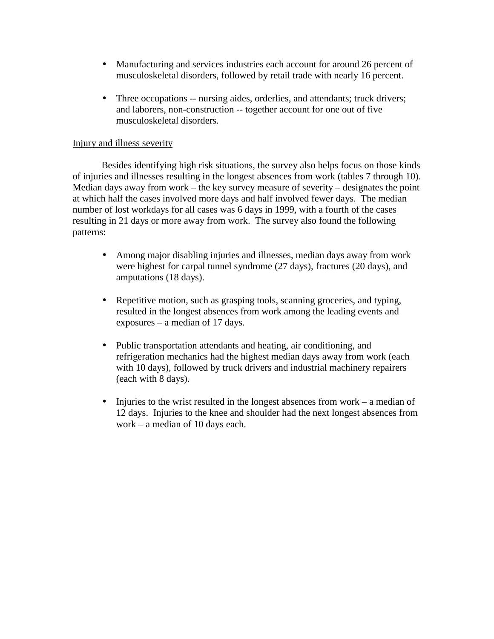- Manufacturing and services industries each account for around 26 percent of musculoskeletal disorders, followed by retail trade with nearly 16 percent.
- Three occupations -- nursing aides, orderlies, and attendants; truck drivers; and laborers, non-construction -- together account for one out of five musculoskeletal disorders.

## Injury and illness severity

Besides identifying high risk situations, the survey also helps focus on those kinds of injuries and illnesses resulting in the longest absences from work (tables 7 through 10). Median days away from work – the key survey measure of severity – designates the point at which half the cases involved more days and half involved fewer days. The median number of lost workdays for all cases was 6 days in 1999, with a fourth of the cases resulting in 21 days or more away from work. The survey also found the following patterns:

- Among major disabling injuries and illnesses, median days away from work were highest for carpal tunnel syndrome (27 days), fractures (20 days), and amputations (18 days).
- Repetitive motion, such as grasping tools, scanning groceries, and typing, resulted in the longest absences from work among the leading events and exposures – a median of 17 days.
- Public transportation attendants and heating, air conditioning, and refrigeration mechanics had the highest median days away from work (each with 10 days), followed by truck drivers and industrial machinery repairers (each with 8 days).
- Injuries to the wrist resulted in the longest absences from work a median of 12 days. Injuries to the knee and shoulder had the next longest absences from work – a median of 10 days each.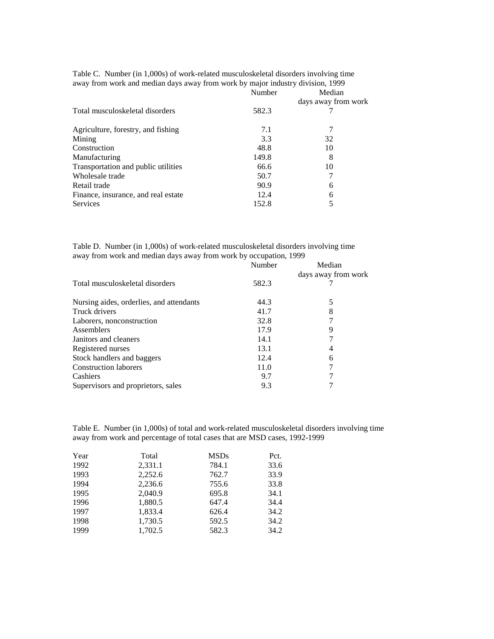| Number | Median              |
|--------|---------------------|
|        | days away from work |
| 582.3  |                     |
| 7.1    |                     |
| 3.3    | 32                  |
| 48.8   | 10                  |
| 149.8  | 8                   |
| 66.6   | 10                  |
| 50.7   |                     |
| 90.9   | 6                   |
| 12.4   | 6                   |
| 152.8  |                     |
|        |                     |

Table C. Number (in 1,000s) of work-related musculoskeletal disorders involving time away from work and median days away from work by major industry division, 1999

Table D. Number (in 1,000s) of work-related musculoskeletal disorders involving time away from work and median days away from work by occupation, 1999

|                                          | Number | Median              |
|------------------------------------------|--------|---------------------|
|                                          |        | days away from work |
| Total musculoskeletal disorders          | 582.3  |                     |
| Nursing aides, orderlies, and attendants | 44.3   | 5                   |
| Truck drivers                            | 41.7   |                     |
| Laborers, nonconstruction                | 32.8   |                     |
| Assemblers                               | 17.9   | 9                   |
| Janitors and cleaners                    | 14.1   |                     |
| Registered nurses                        | 13.1   | 4                   |
| Stock handlers and baggers               | 12.4   | 6                   |
| <b>Construction laborers</b>             | 11.0   |                     |
| Cashiers                                 | 9.7    |                     |
| Supervisors and proprietors, sales       | 9.3    |                     |

Table E. Number (in 1,000s) of total and work-related musculoskeletal disorders involving time away from work and percentage of total cases that are MSD cases, 1992-1999

| Year | Total   | <b>MSDs</b> | Pct. |
|------|---------|-------------|------|
| 1992 | 2,331.1 | 784.1       | 33.6 |
| 1993 | 2.252.6 | 762.7       | 33.9 |
| 1994 | 2,236.6 | 755.6       | 33.8 |
| 1995 | 2.040.9 | 695.8       | 34.1 |
| 1996 | 1,880.5 | 647.4       | 34.4 |
| 1997 | 1,833.4 | 626.4       | 34.2 |
| 1998 | 1,730.5 | 592.5       | 34.2 |
| 1999 | 1.702.5 | 582.3       | 34.2 |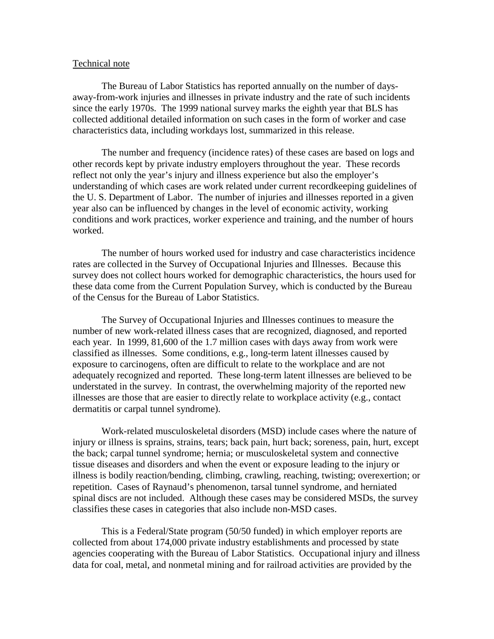#### Technical note

The Bureau of Labor Statistics has reported annually on the number of daysaway-from-work injuries and illnesses in private industry and the rate of such incidents since the early 1970s. The 1999 national survey marks the eighth year that BLS has collected additional detailed information on such cases in the form of worker and case characteristics data, including workdays lost, summarized in this release.

The number and frequency (incidence rates) of these cases are based on logs and other records kept by private industry employers throughout the year. These records reflect not only the year's injury and illness experience but also the employer's understanding of which cases are work related under current recordkeeping guidelines of the U. S. Department of Labor. The number of injuries and illnesses reported in a given year also can be influenced by changes in the level of economic activity, working conditions and work practices, worker experience and training, and the number of hours worked.

The number of hours worked used for industry and case characteristics incidence rates are collected in the Survey of Occupational Injuries and Illnesses. Because this survey does not collect hours worked for demographic characteristics, the hours used for these data come from the Current Population Survey, which is conducted by the Bureau of the Census for the Bureau of Labor Statistics.

The Survey of Occupational Injuries and Illnesses continues to measure the number of new work-related illness cases that are recognized, diagnosed, and reported each year. In 1999, 81,600 of the 1.7 million cases with days away from work were classified as illnesses. Some conditions, e.g., long-term latent illnesses caused by exposure to carcinogens, often are difficult to relate to the workplace and are not adequately recognized and reported. These long-term latent illnesses are believed to be understated in the survey. In contrast, the overwhelming majority of the reported new illnesses are those that are easier to directly relate to workplace activity (e.g., contact dermatitis or carpal tunnel syndrome).

Work-related musculoskeletal disorders (MSD) include cases where the nature of injury or illness is sprains, strains, tears; back pain, hurt back; soreness, pain, hurt, except the back; carpal tunnel syndrome; hernia; or musculoskeletal system and connective tissue diseases and disorders and when the event or exposure leading to the injury or illness is bodily reaction/bending, climbing, crawling, reaching, twisting; overexertion; or repetition. Cases of Raynaud's phenomenon, tarsal tunnel syndrome, and herniated spinal discs are not included. Although these cases may be considered MSDs, the survey classifies these cases in categories that also include non-MSD cases.

This is a Federal/State program (50/50 funded) in which employer reports are collected from about 174,000 private industry establishments and processed by state agencies cooperating with the Bureau of Labor Statistics. Occupational injury and illness data for coal, metal, and nonmetal mining and for railroad activities are provided by the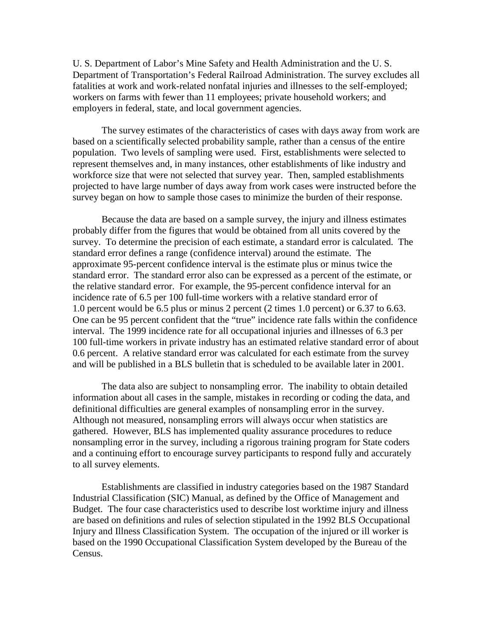U. S. Department of Labor's Mine Safety and Health Administration and the U. S. Department of Transportation's Federal Railroad Administration. The survey excludes all fatalities at work and work-related nonfatal injuries and illnesses to the self-employed; workers on farms with fewer than 11 employees; private household workers; and employers in federal, state, and local government agencies.

The survey estimates of the characteristics of cases with days away from work are based on a scientifically selected probability sample, rather than a census of the entire population. Two levels of sampling were used. First, establishments were selected to represent themselves and, in many instances, other establishments of like industry and workforce size that were not selected that survey year. Then, sampled establishments projected to have large number of days away from work cases were instructed before the survey began on how to sample those cases to minimize the burden of their response.

Because the data are based on a sample survey, the injury and illness estimates probably differ from the figures that would be obtained from all units covered by the survey. To determine the precision of each estimate, a standard error is calculated. The standard error defines a range (confidence interval) around the estimate. The approximate 95-percent confidence interval is the estimate plus or minus twice the standard error. The standard error also can be expressed as a percent of the estimate, or the relative standard error. For example, the 95-percent confidence interval for an incidence rate of 6.5 per 100 full-time workers with a relative standard error of 1.0 percent would be 6.5 plus or minus 2 percent (2 times 1.0 percent) or 6.37 to 6.63. One can be 95 percent confident that the "true" incidence rate falls within the confidence interval. The 1999 incidence rate for all occupational injuries and illnesses of 6.3 per 100 full-time workers in private industry has an estimated relative standard error of about 0.6 percent. A relative standard error was calculated for each estimate from the survey and will be published in a BLS bulletin that is scheduled to be available later in 2001.

The data also are subject to nonsampling error. The inability to obtain detailed information about all cases in the sample, mistakes in recording or coding the data, and definitional difficulties are general examples of nonsampling error in the survey. Although not measured, nonsampling errors will always occur when statistics are gathered. However, BLS has implemented quality assurance procedures to reduce nonsampling error in the survey, including a rigorous training program for State coders and a continuing effort to encourage survey participants to respond fully and accurately to all survey elements.

Establishments are classified in industry categories based on the 1987 Standard Industrial Classification (SIC) Manual, as defined by the Office of Management and Budget. The four case characteristics used to describe lost worktime injury and illness are based on definitions and rules of selection stipulated in the 1992 BLS Occupational Injury and Illness Classification System. The occupation of the injured or ill worker is based on the 1990 Occupational Classification System developed by the Bureau of the Census.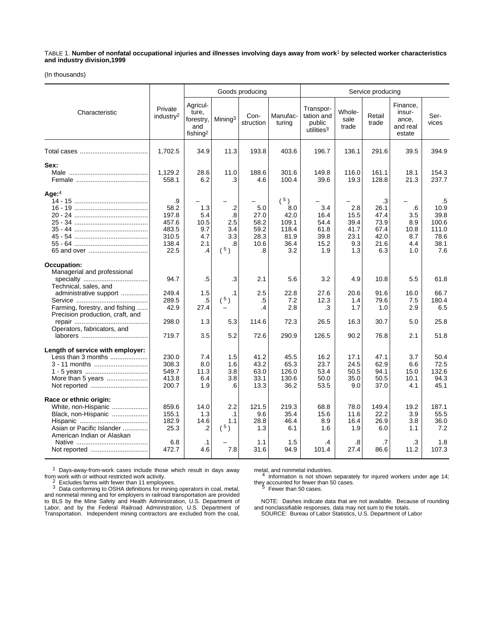TABLE 1. **Number of nonfatal occupational injuries and illnesses involving days away from work**1 **by selected worker characteristics and industry division,1999**

(In thousands)

|                                                                                                                                 |                                                                 |                                                               |                                                    | Goods producing                                   |                                                                  |                                                             |                                                   | Service producing                                                |                                                   |                                                             |
|---------------------------------------------------------------------------------------------------------------------------------|-----------------------------------------------------------------|---------------------------------------------------------------|----------------------------------------------------|---------------------------------------------------|------------------------------------------------------------------|-------------------------------------------------------------|---------------------------------------------------|------------------------------------------------------------------|---------------------------------------------------|-------------------------------------------------------------|
| Characteristic                                                                                                                  | Private<br>industry <sup>2</sup>                                | Agricul-<br>ture,<br>forestry,<br>and<br>fishing <sup>2</sup> | Mining <sup>3</sup>                                | Con-<br>struction                                 | Manufac-<br>turing                                               | Transpor-<br>tation and<br>public<br>utilities <sup>3</sup> | Whole-<br>sale<br>trade                           | Retail<br>trade                                                  | Finance,<br>insur-<br>ance,<br>and real<br>estate | Ser-<br>vices                                               |
|                                                                                                                                 | 1,702.5                                                         | 34.9                                                          | 11.3                                               | 193.8                                             | 403.6                                                            | 196.7                                                       | 136.1                                             | 291.6                                                            | 39.5                                              | 394.9                                                       |
| Sex:                                                                                                                            | 1,129.2<br>558.1                                                | 28.6<br>6.2                                                   | 11.0<br>.3                                         | 188.6<br>4.6                                      | 301.6<br>100.4                                                   | 149.8<br>39.6                                               | 116.0<br>19.3                                     | 161.1<br>128.8                                                   | 18.1<br>21.3                                      | 154.3<br>237.7                                              |
| Age:4                                                                                                                           | .9<br>58.2<br>197.8<br>457.6<br>483.5<br>310.5<br>138.4<br>22.5 | 1.3<br>5.4<br>10.5<br>9.7<br>4.7<br>2.1<br>.4                 | $\cdot$ .2<br>.8<br>2.5<br>3.4<br>3.3<br>.8<br>(5) | 5.0<br>27.0<br>58.2<br>59.2<br>28.3<br>10.6<br>.8 | $(^{5})$<br>8.0<br>42.0<br>109.1<br>118.4<br>81.9<br>36.4<br>3.2 | 3.4<br>16.4<br>54.4<br>61.8<br>39.8<br>15.2<br>1.9          | 2.8<br>15.5<br>39.4<br>41.7<br>23.1<br>9.3<br>1.3 | $\cdot$ 3<br>26.1<br>47.4<br>73.9<br>67.4<br>42.0<br>21.6<br>6.3 | .6<br>3.5<br>8.9<br>10.8<br>8.7<br>4.4<br>1.0     | .5<br>10.9<br>39.8<br>100.6<br>111.0<br>78.6<br>38.1<br>7.6 |
| Occupation:<br>Managerial and professional<br>Technical, sales, and<br>administrative support                                   | 94.7<br>249.4                                                   | .5<br>1.5                                                     | .3<br>$\cdot$ 1                                    | 2.1<br>2.5                                        | 5.6<br>22.8                                                      | 3.2<br>27.6                                                 | 4.9<br>20.6                                       | 10.8<br>91.6                                                     | 5.5<br>16.0                                       | 61.8<br>66.7                                                |
| Farming, forestry, and fishing<br>Precision production, craft, and                                                              | 289.5<br>42.9                                                   | .5<br>27.4                                                    | $(^{5})$                                           | .5<br>.4                                          | 7.2<br>2.8                                                       | 12.3<br>.3                                                  | 1.4<br>1.7                                        | 79.6<br>1.0                                                      | 7.5<br>2.9                                        | 180.4<br>6.5                                                |
| Operators, fabricators, and                                                                                                     | 298.0<br>719.7                                                  | 1.3<br>3.5                                                    | 5.3<br>5.2                                         | 114.6<br>72.6                                     | 72.3<br>290.9                                                    | 26.5<br>126.5                                               | 16.3<br>90.2                                      | 30.7<br>76.8                                                     | 5.0<br>2.1                                        | 25.8<br>51.8                                                |
| Length of service with employer:<br>Less than 3 months<br>3 - 11 months<br>More than 5 years                                    | 230.0<br>308.3<br>549.7<br>413.8<br>200.7                       | 7.4<br>8.0<br>11.3<br>6.4<br>1.9                              | 1.5<br>1.6<br>3.8<br>3.8<br>.6                     | 41.2<br>43.2<br>63.0<br>33.1<br>13.3              | 45.5<br>65.3<br>126.0<br>130.6<br>36.2                           | 16.2<br>23.7<br>53.4<br>50.0<br>53.5                        | 17.1<br>24.5<br>50.5<br>35.0<br>9.0               | 47.1<br>62.9<br>94.1<br>50.5<br>37.0                             | 3.7<br>6.6<br>15.0<br>10.1<br>4.1                 | 50.4<br>72.5<br>132.6<br>94.3<br>45.1                       |
| Race or ethnic origin:<br>White, non-Hispanic<br>Black, non-Hispanic<br>Asian or Pacific Islander<br>American Indian or Alaskan | 859.6<br>155.1<br>182.9<br>25.3                                 | 14.0<br>1.3<br>14.6<br>$\cdot$                                | 2.2<br>$\cdot$ 1<br>1.1<br>(5)                     | 121.5<br>9.6<br>28.8<br>1.3                       | 219.3<br>35.4<br>46.4<br>6.1                                     | 68.8<br>15.6<br>8.9<br>1.6                                  | 78.0<br>11.6<br>16.4<br>1.9                       | 149.4<br>22.2<br>26.9<br>6.0                                     | 19.2<br>3.9<br>3.8<br>1.1                         | 187.1<br>55.5<br>36.0<br>7.2                                |
|                                                                                                                                 | 6.8<br>472.7                                                    | $\cdot$ 1<br>4.6                                              | 7.8                                                | 1.1<br>31.6                                       | 1.5<br>94.9                                                      | .4<br>101.4                                                 | .8<br>27.4                                        | .7<br>86.6                                                       | .3<br>11.2                                        | 1.8<br>107.3                                                |

1 Days-away-from-work cases include those which result in days away

from work with or without restricted work activity.<br>
<sup>2</sup> Excludes farms with fewer than 11 employees.<br>
<sup>3</sup> Data conforming to OSHA definitions for mining operators in coal, metal,<br>
and nonmetal mining and for employers in

metal, and nonmetal industries.<br>4 Information is not shown separately for injured workers under age 14; they accounted for fewer than 50 cases.<br>
<sup>5</sup> Fewer than 50 cases.

NOTE: Dashes indicate data that are not available. Because of rounding and nonclassifiable responses, data may not sum to the totals. SOURCE: Bureau of Labor Statistics, U.S. Department of Labor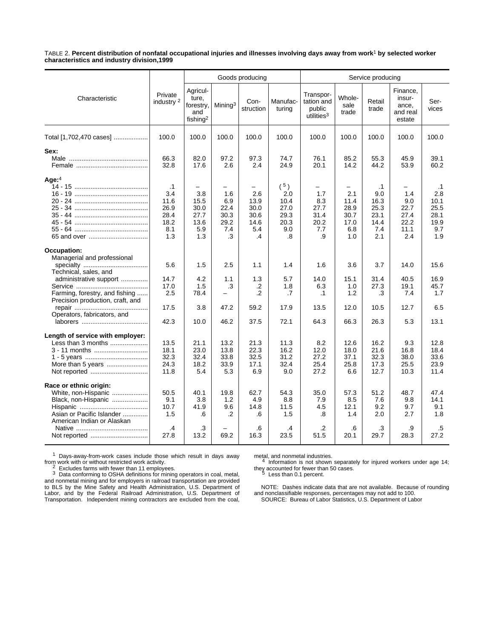TABLE 2. **Percent distribution of nonfatal occupational injuries and illnesses involving days away from work**1 **by selected worker characteristics and industry division,1999**

|                                                                                                                                                                                                    |                                                                | Goods producing<br>Service producing                          |                                                                             |                                                                                   |                                                              |                                                             |                                                        |                                                                |                                                   |                                                                |
|----------------------------------------------------------------------------------------------------------------------------------------------------------------------------------------------------|----------------------------------------------------------------|---------------------------------------------------------------|-----------------------------------------------------------------------------|-----------------------------------------------------------------------------------|--------------------------------------------------------------|-------------------------------------------------------------|--------------------------------------------------------|----------------------------------------------------------------|---------------------------------------------------|----------------------------------------------------------------|
| Characteristic                                                                                                                                                                                     | Private<br>industry <sup>2</sup>                               | Agricul-<br>ture.<br>forestry,<br>and<br>fishing <sup>2</sup> | Mining <sup>3</sup>                                                         | Con-<br>struction                                                                 | Manufac-<br>turing                                           | Transpor-<br>tation and<br>public<br>utilities <sup>3</sup> | Whole-<br>sale<br>trade                                | Retail<br>trade                                                | Finance,<br>insur-<br>ance,<br>and real<br>estate | Ser-<br>vices                                                  |
| Total [1,702,470 cases]                                                                                                                                                                            | 100.0                                                          | 100.0                                                         | 100.0                                                                       | 100.0                                                                             | 100.0                                                        | 100.0                                                       | 100.0                                                  | 100.0                                                          | 100.0                                             | 100.0                                                          |
| Sex:                                                                                                                                                                                               | 66.3<br>32.8                                                   | 82.0<br>17.6                                                  | 97.2<br>2.6                                                                 | 97.3<br>2.4                                                                       | 74.7<br>24.9                                                 | 76.1<br>20.1                                                | 85.2<br>14.2                                           | 55.3<br>44.2                                                   | 45.9<br>53.9                                      | 39.1<br>60.2                                                   |
| Age: $4$                                                                                                                                                                                           | $\cdot$ 1<br>3.4<br>11.6<br>26.9<br>28.4<br>18.2<br>8.1<br>1.3 | -<br>3.8<br>15.5<br>30.0<br>27.7<br>13.6<br>5.9<br>1.3        | $\overline{\phantom{0}}$<br>1.6<br>6.9<br>22.4<br>30.3<br>29.2<br>7.4<br>.3 | $\overline{\phantom{0}}$<br>2.6<br>13.9<br>30.0<br>30.6<br>14.6<br>5.4<br>$\cdot$ | $(^{5})$<br>2.0<br>10.4<br>27.0<br>29.3<br>20.3<br>9.0<br>.8 | -<br>1.7<br>8.3<br>27.7<br>31.4<br>20.2<br>7.7<br>.9        | -<br>2.1<br>11.4<br>28.9<br>30.7<br>17.0<br>6.8<br>1.0 | $\cdot$ 1<br>9.0<br>16.3<br>25.3<br>23.1<br>14.4<br>7.4<br>2.1 | 1.4<br>9.0<br>22.7<br>27.4<br>22.2<br>11.1<br>2.4 | $\cdot$ 1<br>2.8<br>10.1<br>25.5<br>28.1<br>19.9<br>9.7<br>1.9 |
| Occupation:<br>Managerial and professional<br>Technical, sales, and<br>administrative support<br>Farming, forestry, and fishing<br>Precision production, craft, and<br>Operators, fabricators, and | 5.6<br>14.7<br>17.0<br>2.5<br>17.5                             | 1.5<br>4.2<br>1.5<br>78.4<br>3.8                              | 2.5<br>1.1<br>.3<br>47.2                                                    | 1.1<br>1.3<br>.2<br>.2<br>59.2                                                    | 1.4<br>5.7<br>1.8<br>.7<br>17.9                              | 1.6<br>14.0<br>6.3<br>.1<br>13.5                            | 3.6<br>15.1<br>1.0<br>1.2<br>12.0                      | 3.7<br>31.4<br>27.3<br>.3<br>10.5                              | 14.0<br>40.5<br>19.1<br>7.4<br>12.7               | 15.6<br>16.9<br>45.7<br>1.7<br>6.5                             |
|                                                                                                                                                                                                    | 42.3                                                           | 10.0                                                          | 46.2                                                                        | 37.5                                                                              | 72.1                                                         | 64.3                                                        | 66.3                                                   | 26.3                                                           | 5.3                                               | 13.1                                                           |
| Length of service with employer:<br>Less than 3 months<br>3 - 11 months<br>More than 5 years                                                                                                       | 13.5<br>18.1<br>32.3<br>24.3<br>11.8                           | 21.1<br>23.0<br>32.4<br>18.2<br>5.4                           | 13.2<br>13.8<br>33.8<br>33.9<br>5.3                                         | 21.3<br>22.3<br>32.5<br>17.1<br>6.9                                               | 11.3<br>16.2<br>31.2<br>32.4<br>9.0                          | 8.2<br>12.0<br>27.2<br>25.4<br>27.2                         | 12.6<br>18.0<br>37.1<br>25.8<br>6.6                    | 16.2<br>21.6<br>32.3<br>17.3<br>12.7                           | 9.3<br>16.8<br>38.0<br>25.5<br>10.3               | 12.8<br>18.4<br>33.6<br>23.9<br>11.4                           |
| Race or ethnic origin:<br>White, non-Hispanic<br>Black, non-Hispanic<br>Asian or Pacific Islander<br>American Indian or Alaskan                                                                    | 50.5<br>9.1<br>10.7<br>1.5<br>$\cdot$ 4                        | 40.1<br>3.8<br>41.9<br>.6<br>.3                               | 19.8<br>1.2<br>9.6<br>.2                                                    | 62.7<br>4.9<br>14.8<br>.6<br>.6                                                   | 54.3<br>8.8<br>11.5<br>1.5<br>.4                             | 35.0<br>7.9<br>4.5<br>.8<br>$\cdot$                         | 57.3<br>8.5<br>12.1<br>1.4<br>.6                       | 51.2<br>7.6<br>9.2<br>2.0<br>.3                                | 48.7<br>9.8<br>9.7<br>2.7<br>.9                   | 47.4<br>14.1<br>9.1<br>1.8<br>.5                               |
|                                                                                                                                                                                                    | 27.8                                                           | 13.2                                                          | 69.2                                                                        | 16.3                                                                              | 23.5                                                         | 51.5                                                        | 20.1                                                   | 29.7                                                           | 28.3                                              | 27.2                                                           |

<sup>1</sup> Days-away-from-work cases include those which result in days away from work with or without restricted work activity.<br>  $\frac{2}{3}$  Excludes farms with fewer than 11 employees.

From with the with the stricted with fewer than 11 employees.<br>
That conforming to OSHA definitions for mining operators in coal, metal, and nonmetal mining and for employers in railroad transportation are provided to BLS by the Mine Safety and Health Administration, U.S. Department of Labor, and by the Federal Railroad Administration, U.S. Department of Transportation. Independent mining contractors are excluded from the coal,

metal, and nonmetal industries.<br>4 Information is not shown separately for injured workers under age 14; they accounted for fewer than 50 cases.<br>
<sup>5</sup> Less than 0.1 percent.

NOTE: Dashes indicate data that are not available. Because of rounding and nonclassifiable responses, percentages may not add to 100. SOURCE: Bureau of Labor Statistics, U.S. Department of Labor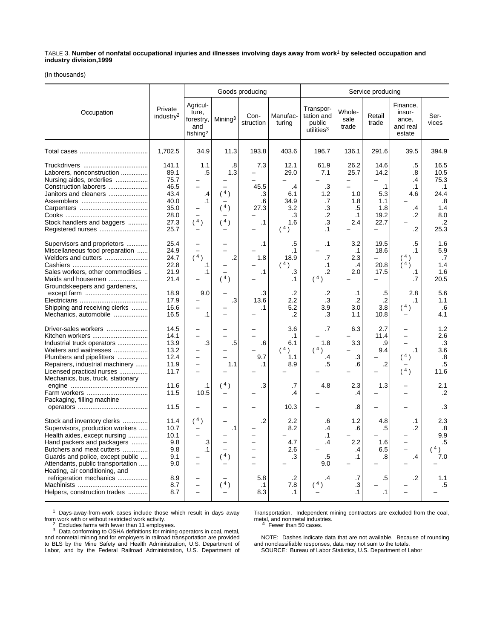TABLE 3. **Number of nonfatal occupational injuries and illnesses involving days away from work**1 **by selected occupation and industry division,1999**

(In thousands)

|                                                                                                                                                                                                                                   |                                                                               |                                                               |                                | Goods producing                              |                                                              |                                                             | Service producing                                                |                                                                |                                                                             |                                                                                     |  |
|-----------------------------------------------------------------------------------------------------------------------------------------------------------------------------------------------------------------------------------|-------------------------------------------------------------------------------|---------------------------------------------------------------|--------------------------------|----------------------------------------------|--------------------------------------------------------------|-------------------------------------------------------------|------------------------------------------------------------------|----------------------------------------------------------------|-----------------------------------------------------------------------------|-------------------------------------------------------------------------------------|--|
| Occupation                                                                                                                                                                                                                        | Private<br>industry <sup>2</sup>                                              | Agricul-<br>ture,<br>forestry,<br>and<br>fishing <sup>2</sup> | Mining <sup>3</sup>            | Con-<br>struction                            | Manufac-<br>turing                                           | Transpor-<br>tation and<br>public<br>utilities <sup>3</sup> | Whole-<br>sale<br>trade                                          | Retail<br>trade                                                | Finance,<br>insur-<br>ance,<br>and real<br>estate                           | Ser-<br>vices                                                                       |  |
|                                                                                                                                                                                                                                   | 1,702.5                                                                       | 34.9                                                          | 11.3                           | 193.8                                        | 403.6                                                        | 196.7                                                       | 136.1                                                            | 291.6                                                          | 39.5                                                                        | 394.9                                                                               |  |
| Laborers, nonconstruction<br>Nursing aides, orderlies<br>Construction laborers<br>Janitors and cleaners<br>Stock handlers and baggers<br>Registered nurses                                                                        | 141.1<br>89.1<br>75.7<br>46.5<br>43.4<br>40.0<br>35.0<br>28.0<br>27.3<br>25.7 | 1.1<br>.5<br>.4<br>$\cdot$ 1<br>(4)                           | .8<br>1.3<br>(4)<br>(4)<br>(4) | 7.3<br>45.5<br>.3<br>.6<br>27.3<br>$\cdot$ 1 | 12.1<br>29.0<br>.4<br>6.1<br>34.9<br>3.2<br>.3<br>1.6<br>(4) | 61.9<br>7.1<br>.3<br>1.2<br>.7<br>.3<br>$\cdot$<br>.3<br>.1 | 26.2<br>25.7<br>$\equiv$<br>1.0<br>1.8<br>.5<br>$\cdot$ 1<br>2.4 | 14.6<br>14.2<br>$\cdot$ 1<br>5.3<br>1.1<br>1.8<br>19.2<br>22.7 | .5<br>.8<br>.4<br>$\cdot$ 1<br>4.6<br>$\overline{.4}$<br>$\cdot$<br>$\cdot$ | 16.5<br>10.5<br>75.3<br>$\cdot$ 1<br>24.4<br>.8<br>1.4<br>8.0<br>$\cdot$ .2<br>25.3 |  |
| Supervisors and proprietors<br>Miscellaneous food preparation<br>Welders and cutters<br>Sales workers, other commodities<br>Maids and housemen                                                                                    | 25.4<br>24.9<br>24.7<br>22.8<br>21.9<br>21.4                                  | (4)<br>.1<br>$\cdot$ 1                                        | $\cdot$<br>(4)                 | $\cdot$ 1<br>1.8<br>$\cdot$ 1                | .5<br>$\cdot$ 1<br>18.9<br>(4)<br>.3<br>.1                   | $\cdot$ 1<br>$\cdot$<br>$\cdot$ 1<br>$\cdot$<br>(4)         | 3.2<br>$\cdot$ 1<br>2.3<br>$\cdot$<br>2.0                        | 19.5<br>18.6<br>20.8<br>17.5                                   | .5<br>.1<br>$\lambda$ 4 $\lambda$<br>.1<br>.7                               | 1.6<br>5.9<br>.7<br>1.4<br>1.6<br>20.5                                              |  |
| Groundskeepers and gardeners,<br>Shipping and receiving clerks<br>Mechanics, automobile                                                                                                                                           | 18.9<br>17.9<br>16.6<br>16.5                                                  | 9.0<br>$\cdot$ 1                                              | .3                             | .3<br>13.6<br>.1                             | .2<br>2.2<br>5.2<br>.2                                       | .2<br>.3<br>3.9<br>.3                                       | $\cdot$ 1<br>$\cdot$<br>3.0<br>1.1                               | .5<br>$\overline{.2}$<br>3.8<br>10.8                           | 2.8<br>.1<br>(4)                                                            | 5.6<br>1.1<br>.6<br>4.1                                                             |  |
| Driver-sales workers<br>Kitchen workers<br>Industrial truck operators<br>Waiters and waitresses<br>Plumbers and pipefitters<br>Repairers, industrial machinery<br>Licensed practical nurses                                       | 14.5<br>14.1<br>13.9<br>13.2<br>12.4<br>11.9<br>11.7                          | .3                                                            | .5<br>1.1                      | .6<br>9.7<br>$\cdot$ 1                       | 3.6<br>$\cdot$ 1<br>6.1<br>$(^{4})$<br>1.1<br>8.9            | $\cdot$<br>1.8<br>(4)<br>.4<br>.5                           | 6.3<br>3.3<br>$\cdot$ 3<br>.6                                    | 2.7<br>11.4<br>.9<br>9.4<br>.2                                 | $\cdot$ 1<br>(4)<br>(4)                                                     | 1.2<br>2.6<br>.3<br>3.6<br>.8<br>$.5\,$<br>11.6                                     |  |
| Mechanics, bus, truck, stationary<br>Farm workers<br>Packaging, filling machine                                                                                                                                                   | 11.6<br>11.5                                                                  | .1<br>10.5                                                    | (4)                            | .3                                           | .7<br>.4                                                     | 4.8                                                         | 2.3<br>.4                                                        | 1.3                                                            |                                                                             | 2.1<br>$\cdot$                                                                      |  |
|                                                                                                                                                                                                                                   | 11.5                                                                          |                                                               |                                |                                              | 10.3                                                         |                                                             | .8                                                               |                                                                |                                                                             | .3                                                                                  |  |
| Stock and inventory clerks<br>Supervisors, production workers<br>Health aides, except nursing<br>Hand packers and packagers<br>Butchers and meat cutters<br>Guards and police, except public<br>Attendants, public transportation | 11.4<br>10.7<br>10.1<br>9.8<br>9.8<br>9.1<br>9.0                              | (4)<br>.3<br>.1<br>-                                          | $\cdot$ 1<br>(4)               | $\cdot$                                      | 2.2<br>8.2<br>4.7<br>2.6<br>.3                               | .6<br>.4<br>$\cdot$ 1<br>.4<br>.5<br>9.0                    | 1.2<br>.6<br>2.2<br>.4<br>$\cdot$ 1                              | 4.8<br>.5<br>1.6<br>6.5<br>.8                                  | $\cdot$ 1<br>.2<br>$\cdot$                                                  | 2.3<br>.8<br>9.9<br>.5<br>(4)<br>7.0                                                |  |
| Heating, air conditioning, and<br>refrigeration mechanics<br>Helpers, construction trades                                                                                                                                         | 8.9<br>8.7<br>8.7                                                             |                                                               | (4)                            | 5.8<br>$\cdot$ 1<br>8.3                      | .2<br>7.8<br>$\cdot$ 1                                       | .4                                                          | .7<br>.3<br>.1                                                   | .5<br>.1                                                       | $\cdot$                                                                     | 1.1<br>.5                                                                           |  |

1 Days-away-from-work cases include those which result in days away From work with or without restricted work activity.<br>
<sup>2</sup> Excludes farms with fewer than 11 employees.<br>
<sup>3</sup> Data conforming to OSHA definitions for mining operators in coal, metal,

and nonmetal mining and for employers in railroad transportation are provided to BLS by the Mine Safety and Health Administration, U.S. Department of Labor, and by the Federal Railroad Administration, U.S. Department of

Transportation. Independent mining contractors are excluded from the coal, metal, and nonmetal industries.<br>
<sup>4</sup> Fewer than 50 cases.

NOTE: Dashes indicate data that are not available. Because of rounding and nonclassifiable responses, data may not sum to the totals. SOURCE: Bureau of Labor Statistics, U.S. Department of Labor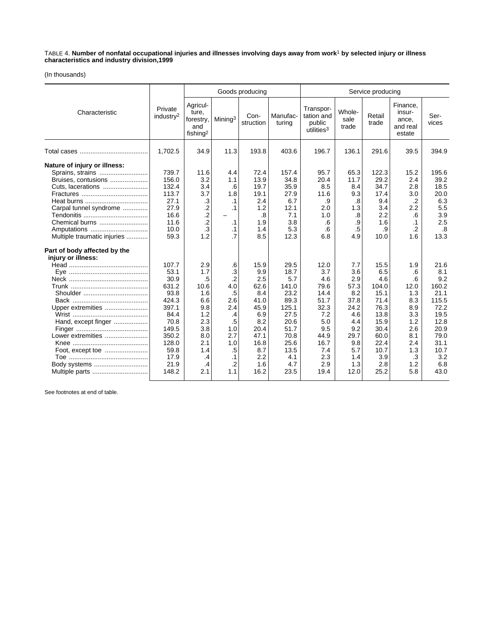TABLE 4. **Number of nonfatal occupational injuries and illnesses involving days away from work**1 **by selected injury or illness characteristics and industry division,1999**

(In thousands)

|                                                                                                                                                                                                                        |                                                                                                                                      |                                                                                                                     |                                                                                                                 | Goods producing                                                                                                      |                                                                                                                             |                                                                                                                      |                                                                                                                   | Service producing                                                                                                         |                                                                                                            |                                                                                                                            |  |  |
|------------------------------------------------------------------------------------------------------------------------------------------------------------------------------------------------------------------------|--------------------------------------------------------------------------------------------------------------------------------------|---------------------------------------------------------------------------------------------------------------------|-----------------------------------------------------------------------------------------------------------------|----------------------------------------------------------------------------------------------------------------------|-----------------------------------------------------------------------------------------------------------------------------|----------------------------------------------------------------------------------------------------------------------|-------------------------------------------------------------------------------------------------------------------|---------------------------------------------------------------------------------------------------------------------------|------------------------------------------------------------------------------------------------------------|----------------------------------------------------------------------------------------------------------------------------|--|--|
| Characteristic                                                                                                                                                                                                         | Private<br>industry <sup>2</sup>                                                                                                     | Agricul-<br>ture,<br>forestry,<br>and<br>fishing <sup>2</sup>                                                       | Mining <sup>3</sup>                                                                                             | Con-<br>struction                                                                                                    | Manufac-<br>turing                                                                                                          | Transpor-<br>tation and<br>public<br>utilities <sup>3</sup>                                                          | Whole-<br>sale<br>trade                                                                                           | Retail<br>trade                                                                                                           | Finance,<br>insur-<br>ance,<br>and real<br>estate                                                          | Ser-<br>vices                                                                                                              |  |  |
|                                                                                                                                                                                                                        | 1,702.5                                                                                                                              | 34.9                                                                                                                | 11.3                                                                                                            | 193.8                                                                                                                | 403.6                                                                                                                       | 196.7                                                                                                                | 136.1                                                                                                             | 291.6                                                                                                                     | 39.5                                                                                                       | 394.9                                                                                                                      |  |  |
| Nature of injury or illness:<br>Sprains, strains<br>Bruises, contusions<br>Cuts, lacerations<br>Carpal tunnel syndrome<br>Chemical burns<br>Amputations<br>Multiple traumatic injuries<br>Part of body affected by the | 739.7<br>156.0<br>132.4<br>113.7<br>27.1<br>27.9<br>16.6<br>11.6<br>10.0<br>59.3                                                     | 11.6<br>3.2<br>3.4<br>3.7<br>$\cdot$<br>$\frac{.2}{.2}$<br>$\cdot$ 3<br>1.2                                         | 4.4<br>1.1<br>.6<br>1.8<br>.1<br>.1<br>-<br>$\cdot$ 1<br>$\cdot$ 1<br>.7                                        | 72.4<br>13.9<br>19.7<br>19.1<br>2.4<br>1.2<br>.8<br>1.9<br>1.4<br>8.5                                                | 157.4<br>34.8<br>35.9<br>27.9<br>6.7<br>12.1<br>7.1<br>3.8<br>5.3<br>12.3                                                   | 95.7<br>20.4<br>8.5<br>11.6<br>.9<br>2.0<br>1.0<br>.6<br>.6<br>6.8                                                   | 65.3<br>11.7<br>8.4<br>9.3<br>.8<br>1.3<br>$\boldsymbol{.8}$<br>.9<br>$.5\,$<br>4.9                               | 122.3<br>29.2<br>34.7<br>17.4<br>9.4<br>3.4<br>2.2<br>1.6<br>.9<br>10.0                                                   | 15.2<br>2.4<br>2.8<br>3.0<br>$\cdot$ .2<br>2.2<br>.6<br>$\cdot$ 1<br>$\cdot$ .2<br>1.6                     | 195.6<br>39.2<br>18.5<br>20.0<br>6.3<br>5.5<br>3.9<br>2.5<br>.8<br>13.3                                                    |  |  |
| injury or illness:<br>Upper extremities<br>Hand, except finger<br>Lower extremities<br>Body systems                                                                                                                    | 107.7<br>53.1<br>30.9<br>631.2<br>93.8<br>424.3<br>397.1<br>84.4<br>70.8<br>149.5<br>350.2<br>128.0<br>59.8<br>17.9<br>21.9<br>148.2 | 2.9<br>1.7<br>$.5\,$<br>10.6<br>1.6<br>6.6<br>9.8<br>1.2<br>2.3<br>3.8<br>8.0<br>2.1<br>1.4<br>$\cdot$<br>.4<br>2.1 | .6<br>.3<br>$\overline{2}$<br>4.0<br>.5<br>2.6<br>2.4<br>.4<br>.5<br>1.0<br>2.7<br>1.0<br>.5<br>.1<br>.2<br>1.1 | 15.9<br>9.9<br>2.5<br>62.6<br>8.4<br>41.0<br>45.9<br>6.9<br>8.2<br>20.4<br>47.1<br>16.8<br>8.7<br>2.2<br>1.6<br>16.2 | 29.5<br>18.7<br>5.7<br>141.0<br>23.2<br>89.3<br>125.1<br>27.5<br>20.6<br>51.7<br>70.8<br>25.6<br>13.5<br>4.1<br>4.7<br>23.5 | 12.0<br>3.7<br>4.6<br>79.6<br>14.4<br>51.7<br>32.3<br>7.2<br>5.0<br>9.5<br>44.9<br>16.7<br>7.4<br>2.3<br>2.9<br>19.4 | 7.7<br>3.6<br>2.9<br>57.3<br>8.2<br>37.8<br>24.2<br>4.6<br>4.4<br>9.2<br>29.7<br>9.8<br>5.7<br>1.4<br>1.3<br>12.0 | 15.5<br>6.5<br>4.6<br>104.0<br>15.1<br>71.4<br>76.3<br>13.8<br>15.9<br>30.4<br>60.0<br>22.4<br>10.7<br>3.9<br>2.8<br>25.2 | 1.9<br>.6<br>.6<br>12.0<br>1.3<br>8.3<br>8.9<br>3.3<br>1.2<br>2.6<br>8.1<br>2.4<br>1.3<br>.3<br>1.2<br>5.8 | 21.6<br>8.1<br>9.2<br>160.2<br>21.1<br>115.5<br>72.2<br>19.5<br>12.8<br>20.9<br>79.0<br>31.1<br>10.7<br>3.2<br>6.8<br>43.0 |  |  |

See footnotes at end of table.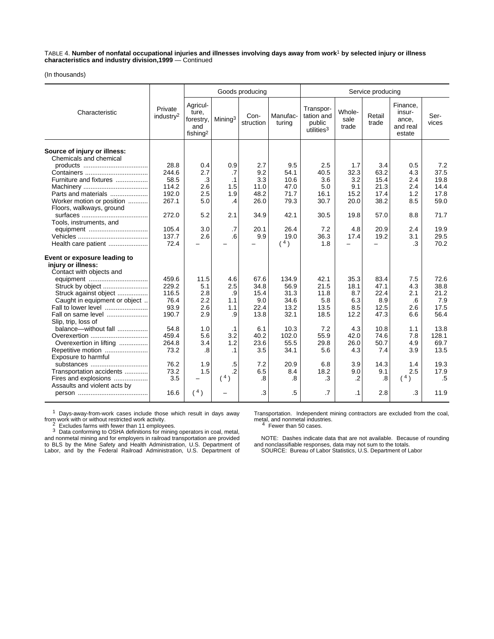TABLE 4. **Number of nonfatal occupational injuries and illnesses involving days away from work**1 **by selected injury or illness characteristics and industry division,1999** — Continued

(In thousands)

|                                                        |                                  |                                                               |                     | Goods producing   |                    |                                                             |                         | Service producing |                                                   |               |  |  |  |
|--------------------------------------------------------|----------------------------------|---------------------------------------------------------------|---------------------|-------------------|--------------------|-------------------------------------------------------------|-------------------------|-------------------|---------------------------------------------------|---------------|--|--|--|
| Characteristic                                         | Private<br>industry <sup>2</sup> | Agricul-<br>ture,<br>forestry,<br>and<br>fishing <sup>2</sup> | Mining <sup>3</sup> | Con-<br>struction | Manufac-<br>turing | Transpor-<br>tation and<br>public<br>utilities <sup>3</sup> | Whole-<br>sale<br>trade | Retail<br>trade   | Finance,<br>insur-<br>ance,<br>and real<br>estate | Ser-<br>vices |  |  |  |
| Source of injury or illness:<br>Chemicals and chemical |                                  |                                                               |                     |                   |                    |                                                             |                         |                   |                                                   |               |  |  |  |
|                                                        | 28.8                             | 0.4                                                           | 0.9                 | 2.7               | 9.5                | 2.5                                                         | 1.7                     | 3.4               | 0.5                                               | 7.2           |  |  |  |
|                                                        | 244.6                            | 2.7                                                           | .7                  | 9.2               | 54.1               | 40.5                                                        | 32.3                    | 63.2              | 4.3                                               | 37.5          |  |  |  |
| Furniture and fixtures                                 | 58.5                             | .3                                                            | .1                  | 3.3               | 10.6               | 3.6                                                         | 3.2                     | 15.4              | 2.4                                               | 19.8          |  |  |  |
|                                                        | 114.2                            | 2.6                                                           | 1.5                 | 11.0              | 47.0               | 5.0                                                         | 9.1                     | 21.3              | 2.4                                               | 14.4          |  |  |  |
| Parts and materials                                    | 192.0                            | 2.5                                                           | 1.9                 | 48.2              | 71.7               | 16.1                                                        | 15.2                    | 17.4              | 1.2                                               | 17.8          |  |  |  |
| Worker motion or position                              | 267.1                            | 5.0                                                           | $\cdot$             | 26.0              | 79.3               | 30.7                                                        | 20.0                    | 38.2              | 8.5                                               | 59.0          |  |  |  |
| Floors, walkways, ground                               |                                  |                                                               |                     |                   |                    |                                                             |                         |                   |                                                   |               |  |  |  |
|                                                        | 272.0                            | 5.2                                                           | 2.1                 | 34.9              | 42.1               | 30.5                                                        | 19.8                    | 57.0              | 8.8                                               | 71.7          |  |  |  |
| Tools, instruments, and                                |                                  |                                                               |                     |                   |                    |                                                             |                         |                   |                                                   |               |  |  |  |
| equipment                                              | 105.4                            | 3.0                                                           | $\cdot$ 7           | 20.1              | 26.4               | 7.2                                                         | 4.8                     | 20.9              | 2.4                                               | 19.9          |  |  |  |
|                                                        | 137.7                            | 2.6                                                           | .6                  | 9.9               | 19.0               | 36.3                                                        | 17.4                    | 19.2              | 3.1                                               | 29.5          |  |  |  |
| Health care patient                                    | 72.4                             |                                                               |                     |                   | (4)                | 1.8                                                         |                         |                   | .3                                                | 70.2          |  |  |  |
| Event or exposure leading to<br>injury or illness:     |                                  |                                                               |                     |                   |                    |                                                             |                         |                   |                                                   |               |  |  |  |
| Contact with objects and                               |                                  |                                                               |                     |                   |                    |                                                             |                         |                   |                                                   |               |  |  |  |
|                                                        | 459.6                            | 11.5                                                          | 4.6                 | 67.6              | 134.9              | 42.1                                                        | 35.3                    | 83.4              | 7.5                                               | 72.6          |  |  |  |
| Struck by object                                       | 229.2                            | 5.1                                                           | 2.5                 | 34.8              | 56.9               | 21.5                                                        | 18.1                    | 47.1              | 4.3                                               | 38.8          |  |  |  |
| Struck against object                                  | 116.5                            | 2.8                                                           | .9                  | 15.4              | 31.3               | 11.8                                                        | 8.7                     | 22.4              | 2.1                                               | 21.2          |  |  |  |
| Caught in equipment or object                          | 76.4                             | 2.2                                                           | 1.1                 | 9.0               | 34.6               | 5.8                                                         | 6.3                     | 8.9               | .6                                                | 7.9           |  |  |  |
| Fall to lower level                                    | 93.9                             | 2.6                                                           | 1.1                 | 22.4              | 13.2               | 13.5                                                        | 8.5                     | 12.5              | 2.6                                               | 17.5          |  |  |  |
| Fall on same level<br>Slip, trip, loss of              | 190.7                            | 2.9                                                           | .9                  | 13.8              | 32.1               | 18.5                                                        | 12.2                    | 47.3              | 6.6                                               | 56.4          |  |  |  |
| balance-without fall                                   | 54.8                             | 1.0                                                           | $\cdot$ 1           | 6.1               | 10.3               | 7.2                                                         | 4.3                     | 10.8              | 1.1                                               | 13.8          |  |  |  |
| Overexertion                                           | 459.4                            | 5.6                                                           | 3.2                 | 40.2              | 102.0              | 55.9                                                        | 42.0                    | 74.6              | 7.8                                               | 128.1         |  |  |  |
| Overexertion in lifting                                | 264.8                            | 3.4                                                           | 1.2                 | 23.6              | 55.5               | 29.8                                                        | 26.0                    | 50.7              | 4.9                                               | 69.7          |  |  |  |
| Repetitive motion<br>Exposure to harmful               | 73.2                             | .8                                                            | $\cdot$ 1           | 3.5               | 34.1               | 5.6                                                         | 4.3                     | 7.4               | 3.9                                               | 13.5          |  |  |  |
| substances                                             | 76.2                             | 1.9                                                           | .5                  | 7.2               | 20.9               | 6.8                                                         | 3.9                     | 14.3              | 1.4                                               | 19.3          |  |  |  |
| Transportation accidents                               | 73.2                             | 1.5                                                           | $\cdot$             | 6.5               | 8.4                | 18.2                                                        | 9.0                     | 9.1               | 2.5                                               | 17.9          |  |  |  |
| Fires and explosions<br>Assaults and violent acts by   | 3.5                              | ÷.                                                            | (4)                 | $\boldsymbol{.8}$ | .8                 | .3                                                          | $\cdot$ .2              | $\boldsymbol{.8}$ | (4)                                               | $.5\,$        |  |  |  |
|                                                        | 16.6                             | $(^{4})$                                                      |                     | .3                | .5                 | $\cdot$                                                     | $\cdot$ 1               | 2.8               | .3                                                | 11.9          |  |  |  |

1 Days-away-from-work cases include those which result in days away From work with or without restricted work activity.<br>
<sup>2</sup> Excludes farms with fewer than 11 employees.<br>
<sup>3</sup> Data conforming to OSHA definitions for mining operators in coal, metal,

and nonmetal mining and for employers in railroad transportation are provided to BLS by the Mine Safety and Health Administration, U.S. Department of Labor, and by the Federal Railroad Administration, U.S. Department of

Transportation. Independent mining contractors are excluded from the coal, manaponation. The industries.<br>
<sup>4</sup> Fewer than 50 cases.

NOTE: Dashes indicate data that are not available. Because of rounding and nonclassifiable responses, data may not sum to the totals. SOURCE: Bureau of Labor Statistics, U.S. Department of Labor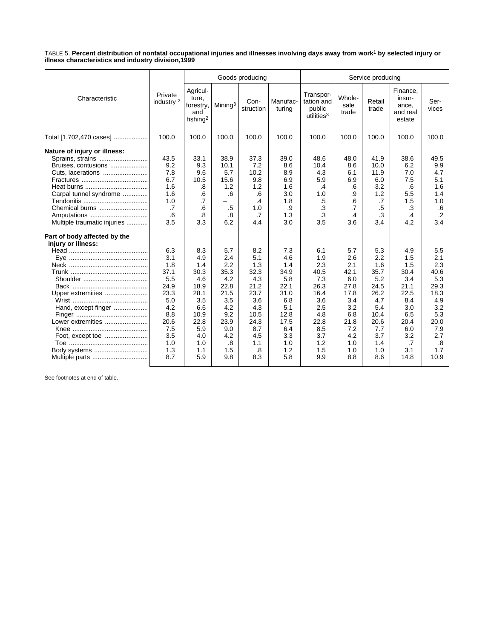TABLE 5. **Percent distribution of nonfatal occupational injuries and illnesses involving days away from work**1 **by selected injury or illness characteristics and industry division,1999**

|                                                                                                                                                                                        |                                                                                                                  |                                                                                                                   |                                                                                                                 | Goods producing<br>Service producing                                                                             |                                                                                                                   |                                                                                                                  |                                                                                                                  |                                                                                                                   |                                                                                                                  |                                                                                                                  |
|----------------------------------------------------------------------------------------------------------------------------------------------------------------------------------------|------------------------------------------------------------------------------------------------------------------|-------------------------------------------------------------------------------------------------------------------|-----------------------------------------------------------------------------------------------------------------|------------------------------------------------------------------------------------------------------------------|-------------------------------------------------------------------------------------------------------------------|------------------------------------------------------------------------------------------------------------------|------------------------------------------------------------------------------------------------------------------|-------------------------------------------------------------------------------------------------------------------|------------------------------------------------------------------------------------------------------------------|------------------------------------------------------------------------------------------------------------------|
| Characteristic                                                                                                                                                                         | Private<br>industry <sup>2</sup>                                                                                 | Agricul-<br>ture,<br>forestry,<br>and<br>fishing <sup>2</sup>                                                     | Mining <sup>3</sup>                                                                                             | Con-<br>struction                                                                                                | Manufac-<br>turing                                                                                                | Transpor-<br>tation and<br>public<br>utilities <sup>3</sup>                                                      | Whole-<br>sale<br>trade                                                                                          | Retail<br>trade                                                                                                   | Finance,<br>insur-<br>ance,<br>and real<br>estate                                                                | Ser-<br>vices                                                                                                    |
| Total [1,702,470 cases]                                                                                                                                                                | 100.0                                                                                                            | 100.0                                                                                                             | 100.0                                                                                                           | 100.0                                                                                                            | 100.0                                                                                                             | 100.0                                                                                                            | 100.0                                                                                                            | 100.0                                                                                                             | 100.0                                                                                                            | 100.0                                                                                                            |
| Nature of injury or illness:<br>Sprains, strains<br>Bruises, contusions<br>Cuts, lacerations<br>Carpal tunnel syndrome<br>Chemical burns<br>Amputations<br>Multiple traumatic injuries | 43.5<br>9.2<br>7.8<br>6.7<br>1.6<br>1.6<br>1.0<br>.7<br>.6<br>3.5                                                | 33.1<br>9.3<br>9.6<br>10.5<br>.8<br>.6<br>$\overline{.7}$<br>.6<br>.8<br>3.3                                      | 38.9<br>10.1<br>5.7<br>15.6<br>1.2<br>.6<br>.5<br>.8<br>6.2                                                     | 37.3<br>7.2<br>10.2<br>9.8<br>1.2<br>.6<br>.4<br>1.0<br>.7<br>4.4                                                | 39.0<br>8.6<br>8.9<br>6.9<br>1.6<br>3.0<br>1.8<br>.9<br>1.3<br>3.0                                                | 48.6<br>10.4<br>4.3<br>5.9<br>$\cdot$<br>1.0<br>$.5\,$<br>.3<br>.3<br>3.5                                        | 48.0<br>8.6<br>6.1<br>6.9<br>.6<br>.9<br>.6<br>$\cdot$ 7<br>$\cdot$<br>3.6                                       | 41.9<br>10.0<br>11.9<br>6.0<br>3.2<br>1.2<br>.7<br>.5<br>.3<br>3.4                                                | 38.6<br>6.2<br>7.0<br>7.5<br>.6<br>5.5<br>1.5<br>.3<br>$\cdot$<br>4.2                                            | 49.5<br>9.9<br>4.7<br>5.1<br>1.6<br>1.4<br>1.0<br>.6<br>$.2\phantom{0}$<br>3.4                                   |
| Part of body affected by the<br>injury or illness:<br>Upper extremities<br>Hand, except finger<br>Lower extremities<br>Body systems                                                    | 6.3<br>3.1<br>1.8<br>37.1<br>5.5<br>24.9<br>23.3<br>5.0<br>4.2<br>8.8<br>20.6<br>7.5<br>3.5<br>1.0<br>1.3<br>8.7 | 8.3<br>4.9<br>1.4<br>30.3<br>4.6<br>18.9<br>28.1<br>3.5<br>6.6<br>10.9<br>22.8<br>5.9<br>4.0<br>1.0<br>1.1<br>5.9 | 5.7<br>2.4<br>2.2<br>35.3<br>4.2<br>22.8<br>21.5<br>3.5<br>4.2<br>9.2<br>23.9<br>9.0<br>4.2<br>.8<br>1.5<br>9.8 | 8.2<br>5.1<br>1.3<br>32.3<br>4.3<br>21.2<br>23.7<br>3.6<br>4.3<br>10.5<br>24.3<br>8.7<br>4.5<br>1.1<br>.8<br>8.3 | 7.3<br>4.6<br>1.4<br>34.9<br>5.8<br>22.1<br>31.0<br>6.8<br>5.1<br>12.8<br>17.5<br>6.4<br>3.3<br>1.0<br>1.2<br>5.8 | 6.1<br>1.9<br>2.3<br>40.5<br>7.3<br>26.3<br>16.4<br>3.6<br>2.5<br>4.8<br>22.8<br>8.5<br>3.7<br>1.2<br>1.5<br>9.9 | 5.7<br>2.6<br>2.1<br>42.1<br>6.0<br>27.8<br>17.8<br>3.4<br>3.2<br>6.8<br>21.8<br>7.2<br>4.2<br>1.0<br>1.0<br>8.8 | 5.3<br>2.2<br>1.6<br>35.7<br>5.2<br>24.5<br>26.2<br>4.7<br>5.4<br>10.4<br>20.6<br>7.7<br>3.7<br>1.4<br>1.0<br>8.6 | 4.9<br>1.5<br>1.5<br>30.4<br>3.4<br>21.1<br>22.5<br>8.4<br>3.0<br>6.5<br>20.4<br>6.0<br>3.2<br>.7<br>3.1<br>14.8 | 5.5<br>2.1<br>2.3<br>40.6<br>5.3<br>29.3<br>18.3<br>4.9<br>3.2<br>5.3<br>20.0<br>7.9<br>2.7<br>.8<br>1.7<br>10.9 |

See footnotes at end of table.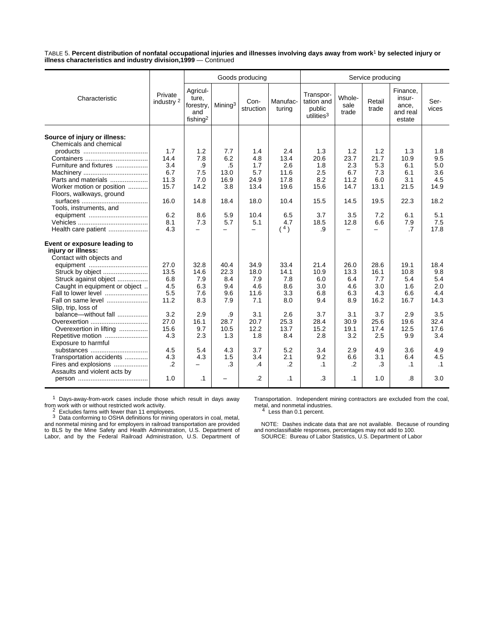TABLE 5. **Percent distribution of nonfatal occupational injuries and illnesses involving days away from work**1 **by selected injury or illness characteristics and industry division,1999** — Continued

|                                                                                |                                  |                                                               |                     | Goods producing   |                    |                                                             |                          | Service producing        |                                                   |               |  |  |  |
|--------------------------------------------------------------------------------|----------------------------------|---------------------------------------------------------------|---------------------|-------------------|--------------------|-------------------------------------------------------------|--------------------------|--------------------------|---------------------------------------------------|---------------|--|--|--|
| Characteristic                                                                 | Private<br>industry <sup>2</sup> | Agricul-<br>ture,<br>forestry,<br>and<br>fishing <sup>2</sup> | Mining <sup>3</sup> | Con-<br>struction | Manufac-<br>turing | Transpor-<br>tation and<br>public<br>utilities <sup>3</sup> | Whole-<br>sale<br>trade  | Retail<br>trade          | Finance,<br>insur-<br>ance,<br>and real<br>estate | Ser-<br>vices |  |  |  |
| Source of injury or illness:<br>Chemicals and chemical                         |                                  |                                                               |                     |                   |                    |                                                             |                          |                          |                                                   |               |  |  |  |
|                                                                                | 1.7                              | 1.2                                                           | 7.7                 | 1.4               | 2.4                | 1.3                                                         | 1.2                      | 1.2                      | 1.3                                               | 1.8           |  |  |  |
|                                                                                | 14.4                             | 7.8                                                           | 6.2                 | 4.8               | 13.4               | 20.6                                                        | 23.7                     | 21.7                     | 10.9                                              | 9.5           |  |  |  |
| Furniture and fixtures                                                         | 3.4                              | .9                                                            | .5                  | 1.7               | 2.6                | 1.8                                                         | 2.3                      | 5.3                      | 6.1                                               | 5.0           |  |  |  |
|                                                                                | 6.7                              | 7.5                                                           | 13.0                | 5.7               | 11.6               | 2.5                                                         | 6.7                      | 7.3                      | 6.1                                               | 3.6           |  |  |  |
| Parts and materials                                                            | 11.3                             | 7.0                                                           | 16.9                | 24.9              | 17.8               | 8.2                                                         | 11.2                     | 6.0                      | 3.1                                               | 4.5           |  |  |  |
| Worker motion or position                                                      | 15.7                             | 14.2                                                          | 3.8                 | 13.4              | 19.6               | 15.6                                                        | 14.7                     | 13.1                     | 21.5                                              | 14.9          |  |  |  |
| Floors, walkways, ground                                                       |                                  |                                                               |                     |                   |                    |                                                             |                          |                          |                                                   |               |  |  |  |
|                                                                                | 16.0                             | 14.8                                                          | 18.4                | 18.0              | 10.4               | 15.5                                                        | 14.5                     | 19.5                     | 22.3                                              | 18.2          |  |  |  |
| Tools, instruments, and                                                        |                                  |                                                               |                     |                   |                    |                                                             |                          |                          |                                                   |               |  |  |  |
|                                                                                | 6.2                              | 8.6                                                           | 5.9                 | 10.4              | 6.5                | 3.7                                                         | 3.5                      | 7.2                      | 6.1                                               | 5.1           |  |  |  |
|                                                                                | 8.1                              | 7.3                                                           | 5.7                 | 5.1               | 4.7                | 18.5                                                        | 12.8                     | 6.6                      | 7.9                                               | 7.5           |  |  |  |
| Health care patient                                                            | 4.3                              | Ξ.                                                            | -                   | -                 | $(^{4})$           | .9                                                          | $\overline{\phantom{0}}$ | $\overline{\phantom{0}}$ | $\cdot$ 7                                         | 17.8          |  |  |  |
| Event or exposure leading to<br>injury or illness:<br>Contact with objects and |                                  |                                                               |                     |                   |                    |                                                             |                          |                          |                                                   |               |  |  |  |
|                                                                                | 27.0                             | 32.8                                                          | 40.4                | 34.9              | 33.4               | 21.4                                                        | 26.0                     | 28.6                     | 19.1                                              | 18.4          |  |  |  |
| Struck by object                                                               | 13.5                             | 14.6                                                          | 22.3                | 18.0              | 14.1               | 10.9                                                        | 13.3                     | 16.1                     | 10.8                                              | 9.8           |  |  |  |
| Struck against object                                                          | 6.8                              | 7.9                                                           | 8.4                 | 7.9               | 7.8                | 6.0                                                         | 6.4                      | 7.7                      | 5.4                                               | 5.4           |  |  |  |
| Caught in equipment or object                                                  | 4.5                              | 6.3                                                           | 9.4                 | 4.6               | 8.6                | 3.0                                                         | 4.6                      | 3.0                      | 1.6                                               | 2.0           |  |  |  |
| Fall to lower level                                                            | 5.5                              | 7.6                                                           | 9.6                 | 11.6              | 3.3                | 6.8                                                         | 6.3                      | 4.3                      | 6.6                                               | 4.4           |  |  |  |
| Fall on same level                                                             | 11.2                             | 8.3                                                           | 7.9                 | 7.1               | 8.0                | 9.4                                                         | 8.9                      | 16.2                     | 16.7                                              | 14.3          |  |  |  |
| Slip, trip, loss of                                                            |                                  |                                                               |                     |                   |                    |                                                             |                          |                          |                                                   |               |  |  |  |
| balance-without fall                                                           | 3.2                              | 2.9                                                           | .9                  | 3.1               | 2.6                | 3.7                                                         | 3.1                      | 3.7                      | 2.9                                               | 3.5           |  |  |  |
| Overexertion                                                                   | 27.0                             | 16.1                                                          | 28.7                | 20.7              | 25.3               | 28.4                                                        | 30.9                     | 25.6                     | 19.6                                              | 32.4          |  |  |  |
| Overexertion in lifting                                                        | 15.6                             | 9.7                                                           | 10.5                | 12.2              | 13.7               | 15.2                                                        | 19.1                     | 17.4                     | 12.5                                              | 17.6          |  |  |  |
| Repetitive motion                                                              | 4.3                              | 2.3                                                           | 1.3                 | 1.8               | 8.4                | 2.8                                                         | 3.2                      | 2.5                      | 9.9                                               | 3.4           |  |  |  |
| Exposure to harmful                                                            |                                  |                                                               |                     |                   |                    |                                                             |                          |                          |                                                   |               |  |  |  |
| substances                                                                     | 4.5                              | 5.4                                                           | 4.3                 | 3.7               | 5.2                | 3.4                                                         | 2.9                      | 4.9                      | 3.6                                               | 4.9           |  |  |  |
| Transportation accidents                                                       | 4.3                              | 4.3                                                           | 1.5                 | 3.4               | 2.1                | 9.2                                                         | 6.6                      | 3.1                      | 6.4                                               | 4.5           |  |  |  |
| Fires and explosions                                                           | $\cdot$ .2                       | -                                                             | .3                  | .4                | $\cdot$            | $\cdot$ 1                                                   | $\cdot$                  | .3                       | $\cdot$ 1                                         | $\cdot$ 1     |  |  |  |
| Assaults and violent acts by                                                   |                                  |                                                               |                     |                   |                    |                                                             |                          |                          |                                                   |               |  |  |  |
|                                                                                | 1.0                              | $\cdot$ 1                                                     |                     | $\cdot$ .2        | $\cdot$ 1          | .3                                                          | $\cdot$ 1                | 1.0                      | 8.                                                | 3.0           |  |  |  |
|                                                                                |                                  |                                                               |                     |                   |                    |                                                             |                          |                          |                                                   |               |  |  |  |

<sup>1</sup> Days-away-from-work cases include those which result in days away

from work with or without restricted work activity.<br>
<sup>2</sup> Excludes farms with fewer than 11 employees.<br>
<sup>3</sup> Data conforming to OSHA definitions for mining operators in coal, metal,<br>
and nonmetal mining and for employers in Labor, and by the Federal Railroad Administration, U.S. Department of Transportation. Independent mining contractors are excluded from the coal, metal, and nonmetal industries. <sup>4</sup> Less than 0.1 percent.

NOTE: Dashes indicate data that are not available. Because of rounding and nonclassifiable responses, percentages may not add to 100. SOURCE: Bureau of Labor Statistics, U.S. Department of Labor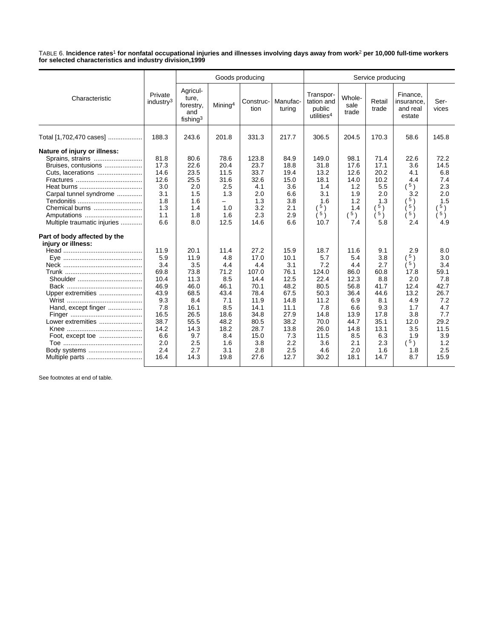TABLE 6. **Incidence rates**1 **for nonfatal occupational injuries and illnesses involving days away from work**2 **per 10,000 full-time workers for selected characteristics and industry division,1999**

|                                                                                                                                                                                    |                                                                                                                       |                                                                                                                         |                                                                                                                      | Goods producing                                                                                                            |                                                                                                                          |                                                                                                                          |                                                                                                                       | Service producing                                                                                                   |                                                                                                                      |                                                                                                                    |
|------------------------------------------------------------------------------------------------------------------------------------------------------------------------------------|-----------------------------------------------------------------------------------------------------------------------|-------------------------------------------------------------------------------------------------------------------------|----------------------------------------------------------------------------------------------------------------------|----------------------------------------------------------------------------------------------------------------------------|--------------------------------------------------------------------------------------------------------------------------|--------------------------------------------------------------------------------------------------------------------------|-----------------------------------------------------------------------------------------------------------------------|---------------------------------------------------------------------------------------------------------------------|----------------------------------------------------------------------------------------------------------------------|--------------------------------------------------------------------------------------------------------------------|
| Characteristic                                                                                                                                                                     | Private<br>industry <sup>3</sup>                                                                                      | Agricul-<br>ture,<br>forestry,<br>and<br>fishing $3$                                                                    | Mining <sup>4</sup>                                                                                                  | Construc-<br>tion                                                                                                          | Manufac-<br>turing                                                                                                       | Transpor-<br>tation and<br>public<br>utilities <sup>4</sup>                                                              | Whole-<br>sale<br>trade                                                                                               | Retail<br>trade                                                                                                     | Finance,<br>insurance,<br>and real<br>estate                                                                         | Ser-<br>vices                                                                                                      |
| Total [1,702,470 cases]                                                                                                                                                            | 188.3                                                                                                                 | 243.6                                                                                                                   | 201.8                                                                                                                | 331.3                                                                                                                      | 217.7                                                                                                                    | 306.5                                                                                                                    | 204.5                                                                                                                 | 170.3                                                                                                               | 58.6                                                                                                                 | 145.8                                                                                                              |
| Nature of injury or illness:<br>Sprains, strains<br>Bruises, contusions<br>Carpal tunnel syndrome<br>Chemical burns<br>Multiple traumatic injuries<br>Part of body affected by the | 81.8<br>17.3<br>14.6<br>12.6<br>3.0<br>3.1<br>1.8<br>1.3<br>1.1<br>6.6                                                | 80.6<br>22.6<br>23.5<br>25.5<br>2.0<br>1.5<br>1.6<br>1.4<br>1.8<br>8.0                                                  | 78.6<br>20.4<br>11.5<br>31.6<br>2.5<br>1.3<br>-<br>1.0<br>1.6<br>12.5                                                | 123.8<br>23.7<br>33.7<br>32.6<br>4.1<br>2.0<br>1.3<br>3.2<br>2.3<br>14.6                                                   | 84.9<br>18.8<br>19.4<br>15.0<br>3.6<br>6.6<br>3.8<br>2.1<br>2.9<br>6.6                                                   | 149.0<br>31.8<br>13.2<br>18.1<br>1.4<br>3.1<br>1.6<br>5)<br>$\left(5\right)$<br>10.7                                     | 98.1<br>17.6<br>12.6<br>14.0<br>1.2<br>1.9<br>1.2<br>1.4<br>5)<br>7.4                                                 | 71.4<br>17.1<br>20.2<br>10.2<br>5.5<br>2.0<br>1.3<br>$\left(5\right)$<br>(5)<br>5.8                                 | 22.6<br>3.6<br>4.1<br>4.4<br>$(^{5})$<br>3.2<br>5 <sub>1</sub><br>$5 \choose$<br>5)<br>2.4                           | 72.2<br>14.5<br>6.8<br>7.4<br>2.3<br>2.0<br>1.5<br>5)<br>5)<br>4.9                                                 |
| injury or illness:<br>Upper extremities<br>Hand, except finger<br>Lower extremities<br>Body systems                                                                                | 11.9<br>5.9<br>3.4<br>69.8<br>10.4<br>46.9<br>43.9<br>9.3<br>7.8<br>16.5<br>38.7<br>14.2<br>6.6<br>2.0<br>2.4<br>16.4 | 20.1<br>11.9<br>3.5<br>73.8<br>11.3<br>46.0<br>68.5<br>8.4<br>16.1<br>26.5<br>55.5<br>14.3<br>9.7<br>2.5<br>2.7<br>14.3 | 11.4<br>4.8<br>4.4<br>71.2<br>8.5<br>46.1<br>43.4<br>7.1<br>8.5<br>18.6<br>48.2<br>18.2<br>8.4<br>1.6<br>3.1<br>19.8 | 27.2<br>17.0<br>4.4<br>107.0<br>14.4<br>70.1<br>78.4<br>11.9<br>14.1<br>34.8<br>80.5<br>28.7<br>15.0<br>3.8<br>2.8<br>27.6 | 15.9<br>10.1<br>3.1<br>76.1<br>12.5<br>48.2<br>67.5<br>14.8<br>11.1<br>27.9<br>38.2<br>13.8<br>7.3<br>2.2<br>2.5<br>12.7 | 18.7<br>5.7<br>7.2<br>124.0<br>22.4<br>80.5<br>50.3<br>11.2<br>7.8<br>14.8<br>70.0<br>26.0<br>11.5<br>3.6<br>4.6<br>30.2 | 11.6<br>5.4<br>4.4<br>86.0<br>12.3<br>56.8<br>36.4<br>6.9<br>6.6<br>13.9<br>44.7<br>14.8<br>8.5<br>2.1<br>2.0<br>18.1 | 9.1<br>3.8<br>2.7<br>60.8<br>8.8<br>41.7<br>44.6<br>8.1<br>9.3<br>17.8<br>35.1<br>13.1<br>6.3<br>2.3<br>1.6<br>14.7 | 2.9<br>5)<br>(5)<br>17.8<br>2.0<br>12.4<br>13.2<br>4.9<br>1.7<br>3.8<br>12.0<br>3.5<br>1.9<br>$(^{5})$<br>1.8<br>8.7 | 8.0<br>3.0<br>3.4<br>59.1<br>7.8<br>42.7<br>26.7<br>7.2<br>4.7<br>7.7<br>29.2<br>11.5<br>3.9<br>1.2<br>2.5<br>15.9 |

See footnotes at end of table.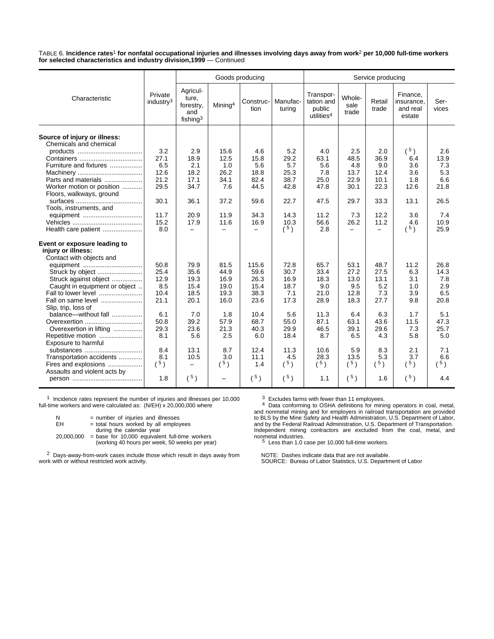TABLE 6. **Incidence rates**1 **for nonfatal occupational injuries and illnesses involving days away from work**2 **per 10,000 full-time workers for selected characteristics and industry division,1999** — Continued

|                                                        |                                  |                                                               |                     | Goods producing   |                    |                                                             | Service producing        |                          |                                              |               |  |
|--------------------------------------------------------|----------------------------------|---------------------------------------------------------------|---------------------|-------------------|--------------------|-------------------------------------------------------------|--------------------------|--------------------------|----------------------------------------------|---------------|--|
| Characteristic                                         | Private<br>industry <sup>3</sup> | Agricul-<br>ture,<br>forestry,<br>and<br>fishing <sup>3</sup> | Mining <sup>4</sup> | Construc-<br>tion | Manufac-<br>turing | Transpor-<br>tation and<br>public<br>utilities <sup>4</sup> | Whole-<br>sale<br>trade  | Retail<br>trade          | Finance,<br>insurance.<br>and real<br>estate | Ser-<br>vices |  |
| Source of injury or illness:<br>Chemicals and chemical |                                  |                                                               |                     |                   |                    |                                                             |                          |                          |                                              |               |  |
|                                                        | 3.2                              | 2.9                                                           | 15.6                | 4.6               | 5.2                | 4.0                                                         | 2.5                      | 2.0                      | $(^{5})$                                     | 2.6           |  |
|                                                        | 27.1                             | 18.9                                                          | 12.5                | 15.8              | 29.2               | 63.1                                                        | 48.5                     | 36.9                     | 6.4                                          | 13.9          |  |
| Furniture and fixtures                                 | 6.5                              | 2.1                                                           | 1.0                 | 5.6               | 5.7                | 5.6                                                         | 4.8                      | 9.0                      | 3.6                                          | 7.3           |  |
|                                                        | 12.6                             | 18.2                                                          | 26.2                | 18.8              | 25.3               | 7.8                                                         | 13.7                     | 12.4                     | 3.6                                          | 5.3           |  |
| Parts and materials                                    | 21.2                             | 17.1                                                          | 34.1                | 82.4              | 38.7               | 25.0                                                        | 22.9                     | 10.1                     | 1.8                                          | 6.6           |  |
| Worker motion or position                              | 29.5                             | 34.7                                                          | 7.6                 | 44.5              | 42.8               | 47.8                                                        | 30.1                     | 22.3                     | 12.6                                         | 21.8          |  |
| Floors, walkways, ground                               |                                  |                                                               |                     |                   |                    |                                                             |                          |                          |                                              |               |  |
|                                                        | 30.1                             | 36.1                                                          | 37.2                | 59.6              | 22.7               | 47.5                                                        | 29.7                     | 33.3                     | 13.1                                         | 26.5          |  |
| Tools, instruments, and                                |                                  |                                                               |                     |                   |                    |                                                             |                          |                          |                                              |               |  |
| equipment                                              | 11.7                             | 20.9                                                          | 11.9                | 34.3              | 14.3               | 11.2                                                        | 7.3                      | 12.2                     | 3.6                                          | 7.4           |  |
|                                                        | 15.2                             | 17.9                                                          | 11.6                | 16.9              | 10.3               | 56.6                                                        | 26.2                     | 11.2                     | 4.6                                          | 10.9          |  |
| Health care patient                                    | 8.0                              | $\equiv$                                                      | $\equiv$            | $\equiv$          | (5)                | 2.8                                                         | $\overline{\phantom{0}}$ | $\overline{\phantom{0}}$ | $(^{5})$                                     | 25.9          |  |
| Event or exposure leading to                           |                                  |                                                               |                     |                   |                    |                                                             |                          |                          |                                              |               |  |
| injury or illness:                                     |                                  |                                                               |                     |                   |                    |                                                             |                          |                          |                                              |               |  |
| Contact with objects and                               |                                  |                                                               |                     |                   |                    |                                                             |                          |                          |                                              |               |  |
| equipment                                              | 50.8                             | 79.9                                                          | 81.5                | 115.6             | 72.8               | 65.7                                                        | 53.1                     | 48.7                     | 11.2                                         | 26.8          |  |
| Struck by object                                       | 25.4                             | 35.6                                                          | 44.9                | 59.6              | 30.7               | 33.4                                                        | 27.2                     | 27.5                     | 6.3                                          | 14.3          |  |
| Struck against object                                  | 12.9                             | 19.3                                                          | 16.9                | 26.3              | 16.9               | 18.3                                                        | 13.0                     | 13.1                     | 3.1                                          | 7.8           |  |
| Caught in equipment or object                          | 8.5                              | 15.4                                                          | 19.0                | 15.4              | 18.7               | 9.0                                                         | 9.5                      | 5.2                      | 1.0                                          | 2.9           |  |
| Fall to lower level                                    | 10.4                             | 18.5                                                          | 19.3                | 38.3              | 7.1                | 21.0                                                        | 12.8                     | 7.3                      | 3.9                                          | 6.5           |  |
| Fall on same level                                     | 21.1                             | 20.1                                                          | 16.0                | 23.6              | 17.3               | 28.9                                                        | 18.3                     | 27.7                     | 9.8                                          | 20.8          |  |
| Slip, trip, loss of                                    |                                  |                                                               |                     |                   |                    |                                                             |                          |                          |                                              |               |  |
| balance—without fall                                   | 6.1                              | 7.0                                                           | 1.8                 | 10.4              | 5.6                | 11.3                                                        | 6.4                      | 6.3                      | 1.7                                          | 5.1           |  |
| Overexertion                                           | 50.8                             | 39.2                                                          | 57.9                | 68.7              | 55.0               | 87.1                                                        | 63.1                     | 43.6                     | 11.5                                         | 47.3          |  |
| Overexertion in lifting                                | 29.3                             | 23.6                                                          | 21.3                | 40.3              | 29.9               | 46.5                                                        | 39.1                     | 29.6                     | 7.3                                          | 25.7          |  |
| Repetitive motion<br>Exposure to harmful               | 8.1                              | 5.6                                                           | 2.5                 | 6.0               | 18.4               | 8.7                                                         | 6.5                      | 4.3                      | 5.8                                          | 5.0           |  |
| substances                                             | 8.4                              | 13.1                                                          | 8.7                 | 12.4              | 11.3               | 10.6                                                        | 5.9                      | 8.3                      | 2.1                                          | 7.1           |  |
| Transportation accidents                               | 8.1                              | 10.5                                                          | 3.0                 | 11.1              | 4.5                | 28.3                                                        | 13.5                     | 5.3                      | 3.7                                          | 6.6           |  |
| Fires and explosions                                   | $(^{5})$                         | $\qquad \qquad -$                                             | $(^{5})$            | 1.4               | $(^{5})$           | $(^{5})$                                                    | $(^{5})$                 | $(^{5})$                 | $(^{5})$                                     | 5)            |  |
| Assaults and violent acts by                           |                                  |                                                               |                     |                   |                    |                                                             |                          |                          |                                              |               |  |
|                                                        | 1.8                              | (5)                                                           | -                   | (5)               | $(^{5})$           | 1.1                                                         | (5)                      | 1.6                      | $(^{5})$                                     | 4.4           |  |

1 Incidence rates represent the number of injuries and illnesses per 10,000 full-time workers and were calculated as: (N/EH) x 20,000,000 where

| N          | = number of injuries and illnesses                                                                                             |
|------------|--------------------------------------------------------------------------------------------------------------------------------|
| EH         | = total hours worked by all employees                                                                                          |
| 20.000.000 | during the calendar year<br>$=$ base for 10,000 equivalent full-time workers<br>(working 40 hours per week, 50 weeks per year) |

2 Days-away-from-work cases include those which result in days away from work with or without restricted work activity.

<sup>3</sup> Excludes farms with fewer than 11 employees.<br><sup>4</sup> Data conforming to OSHA definitions for mining operators in coal, metal,<br>and nonmetal mining and for employers in railroad transportation are provided<br>to BLS by the Mine and by the Federal Railroad Administration, U.S. Department of Transportation. Independent mining contractors are excluded from the coal, metal, and monmetal industries.<br>
<sup>5</sup> Less than 1.0 case per 10,000 full-time workers.

NOTE: Dashes indicate data that are not available. SOURCE: Bureau of Labor Statistics, U.S. Department of Labor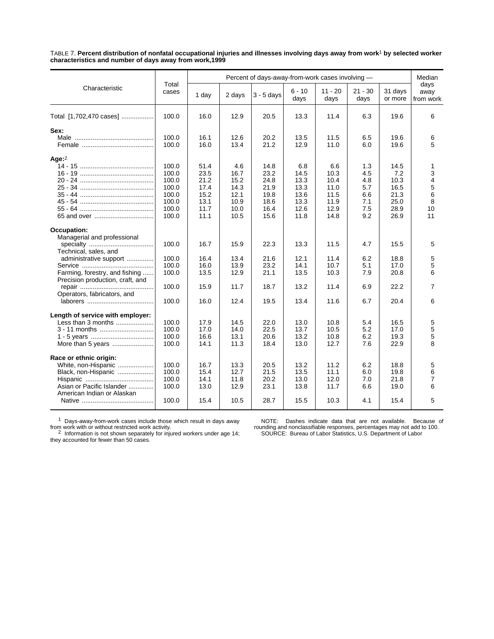TABLE 7. **Percent distribution of nonfatal occupational injuries and illnesses involving days away from work**1 **by selected worker characteristics and number of days away from work,1999**

|                                                                    | Percent of days-away-from-work cases involving - |              |              |              |                  |                   |                   |                    | Median                    |
|--------------------------------------------------------------------|--------------------------------------------------|--------------|--------------|--------------|------------------|-------------------|-------------------|--------------------|---------------------------|
| Characteristic                                                     | Total<br>cases                                   | 1 day        | 2 days       | $3 - 5$ days | $6 - 10$<br>days | $11 - 20$<br>days | $21 - 30$<br>days | 31 days<br>or more | days<br>away<br>from work |
| Total [1,702,470 cases]                                            | 100.0                                            | 16.0         | 12.9         | 20.5         | 13.3             | 11.4              | 6.3               | 19.6               | 6                         |
| Sex:                                                               |                                                  |              |              |              |                  |                   |                   |                    |                           |
|                                                                    | 100.0<br>100.0                                   | 16.1<br>16.0 | 12.6<br>13.4 | 20.2<br>21.2 | 13.5<br>12.9     | 11.5<br>11.0      | 6.5<br>6.0        | 19.6<br>19.6       | 6<br>5                    |
| Age:2                                                              |                                                  |              |              |              |                  |                   |                   |                    |                           |
|                                                                    | 100.0                                            | 51.4         | 4.6          | 14.8         | 6.8              | 6.6               | 1.3               | 14.5               | 1                         |
|                                                                    | 100.0                                            | 23.5         | 16.7         | 23.2         | 14.5             | 10.3              | 4.5               | 7.2                | 3                         |
|                                                                    | 100.0<br>100.0                                   | 21.2<br>17.4 | 15.2<br>14.3 | 24.8<br>21.9 | 13.3<br>13.3     | 10.4<br>11.0      | 4.8<br>5.7        | 10.3<br>16.5       | 4<br>5                    |
|                                                                    | 100.0                                            | 15.2         | 12.1         | 19.8         | 13.6             | 11.5              | 6.6               | 21.3               | 6                         |
|                                                                    | 100.0                                            | 13.1         | 10.9         | 18.6         | 13.3             | 11.9              | 7.1               | 25.0               | 8                         |
|                                                                    | 100.0                                            | 11.7         | 10.0         | 16.4         | 12.6             | 12.9              | 7.5               | 28.9               | 10                        |
|                                                                    | 100.0                                            | 11.1         | 10.5         | 15.6         | 11.8             | 14.8              | 9.2               | 26.9               | 11                        |
| Occupation:                                                        |                                                  |              |              |              |                  |                   |                   |                    |                           |
| Managerial and professional                                        |                                                  |              |              |              |                  |                   |                   |                    |                           |
| Technical, sales, and                                              | 100.0                                            | 16.7         | 15.9         | 22.3         | 13.3             | 11.5              | 4.7               | 15.5               | 5                         |
| administrative support                                             | 100.0                                            | 16.4         | 13.4         | 21.6         | 12.1             | 11.4              | 6.2               | 18.8               | 5                         |
|                                                                    | 100.0                                            | 16.0         | 13.9         | 23.2         | 14.1             | 10.7              | 5.1               | 17.0               | 5                         |
| Farming, forestry, and fishing<br>Precision production, craft, and | 100.0                                            | 13.5         | 12.9         | 21.1         | 13.5             | 10.3              | 7.9               | 20.8               | 6                         |
| Operators, fabricators, and                                        | 100.0                                            | 15.9         | 11.7         | 18.7         | 13.2             | 11.4              | 6.9               | 22.2               | 7                         |
|                                                                    | 100.0                                            | 16.0         | 12.4         | 19.5         | 13.4             | 11.6              | 6.7               | 20.4               | 6                         |
| Length of service with employer:                                   |                                                  |              |              |              |                  |                   |                   |                    |                           |
| Less than 3 months                                                 | 100.0                                            | 17.9         | 14.5         | 22.0         | 13.0             | 10.8              | 5.4               | 16.5               | 5                         |
| 3 - 11 months                                                      | 100.0                                            | 17.0         | 14.0         | 22.5         | 13.7             | 10.5              | 5.2               | 17.0               | 5                         |
|                                                                    | 100.0                                            | 16.6         | 13.1         | 20.6         | 13.2             | 10.8              | 6.2               | 19.3               | 5                         |
| More than 5 years                                                  | 100.0                                            | 14.1         | 11.3         | 18.4         | 13.0             | 12.7              | 7.6               | 22.9               | 8                         |
| Race or ethnic origin:                                             |                                                  |              |              |              |                  |                   |                   |                    |                           |
| White, non-Hispanic                                                | 100.0                                            | 16.7         | 13.3         | 20.5         | 13.2             | 11.2              | 6.2               | 18.8               | 5                         |
| Black, non-Hispanic                                                | 100.0                                            | 15.4         | 12.7         | 21.5         | 13.5             | 11.1              | 6.0               | 19.8               | 6                         |
|                                                                    | 100.0                                            | 14.1         | 11.8         | 20.2         | 13.0             | 12.0              | 7.0               | 21.8               | $\overline{7}$            |
| Asian or Pacific Islander<br>American Indian or Alaskan            | 100.0                                            | 13.0         | 12.9         | 23.1         | 13.8             | 11.7              | 6.6               | 19.0               | 6                         |
|                                                                    | 100.0                                            | 15.4         | 10.5         | 28.7         | 15.5             | 10.3              | 4.1               | 15.4               | 5                         |

1 Days-away-from-work cases include those which result in days away

from work with or without restricted work activity.<br><sup>2</sup> Information is not shown separately for injured workers under age 14;<br>they accounted for fewer than 50 cases.

NOTE: Dashes indicate data that are not available. Because of rounding and nonclassifiable responses, percentages may not add to 100. SOURCE: Bureau of Labor Statistics, U.S. Department of Labor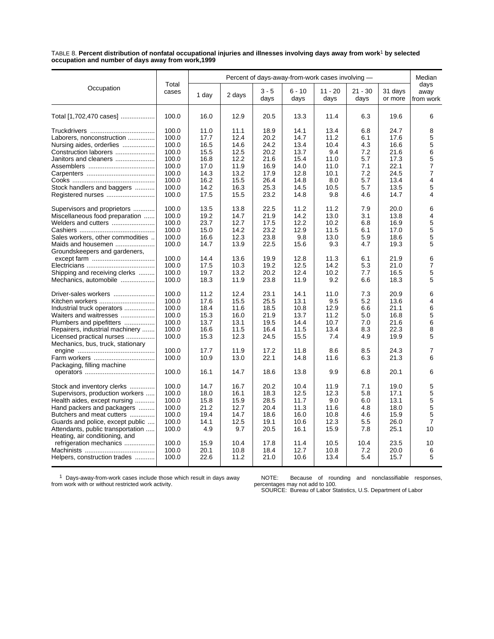TABLE 8. **Percent distribution of nonfatal occupational injuries and illnesses involving days away from work**1 **by selected occupation and number of days away from work,1999**

|                                                                                                                                                                                                                                                                     |                                                             |                                                      |                                                      |                                                      |                                                      | Percent of days-away-from-work cases involving —    |                                               | Median                                               |                                                     |
|---------------------------------------------------------------------------------------------------------------------------------------------------------------------------------------------------------------------------------------------------------------------|-------------------------------------------------------------|------------------------------------------------------|------------------------------------------------------|------------------------------------------------------|------------------------------------------------------|-----------------------------------------------------|-----------------------------------------------|------------------------------------------------------|-----------------------------------------------------|
| Occupation                                                                                                                                                                                                                                                          | Total<br>cases                                              | 1 day                                                | 2 days                                               | $3 - 5$<br>days                                      | $6 - 10$<br>days                                     | $11 - 20$<br>days                                   | $21 - 30$<br>days                             | 31 days<br>or more                                   | days<br>away<br>from work                           |
| Total [1,702,470 cases]                                                                                                                                                                                                                                             | 100.0                                                       | 16.0                                                 | 12.9                                                 | 20.5                                                 | 13.3                                                 | 11.4                                                | 6.3                                           | 19.6                                                 | 6                                                   |
| Laborers, nonconstruction<br>Nursing aides, orderlies<br>Construction laborers<br>Janitors and cleaners                                                                                                                                                             | 100.0<br>100.0<br>100.0<br>100.0<br>100.0<br>100.0          | 11.0<br>17.7<br>16.5<br>15.5<br>16.8<br>17.0         | 11.1<br>12.4<br>14.6<br>12.5<br>12.2<br>11.9         | 18.9<br>20.2<br>24.2<br>20.2<br>21.6<br>16.9         | 14.1<br>14.7<br>13.4<br>13.7<br>15.4<br>14.0         | 13.4<br>11.2<br>10.4<br>9.4<br>11.0<br>11.0         | 6.8<br>6.1<br>4.3<br>7.2<br>5.7<br>7.1        | 24.7<br>17.6<br>16.6<br>21.6<br>17.3<br>22.1         | 8<br>5<br>5<br>6<br>5<br>$\overline{7}$             |
| Stock handlers and baggers                                                                                                                                                                                                                                          | 100.0<br>100.0<br>100.0<br>100.0                            | 14.3<br>16.2<br>14.2<br>17.5                         | 13.2<br>15.5<br>16.3<br>15.5                         | 17.9<br>26.4<br>25.3<br>23.2                         | 12.8<br>14.8<br>14.5<br>14.8                         | 10.1<br>8.0<br>10.5<br>9.8                          | 7.2<br>5.7<br>5.7<br>4.6                      | 24.5<br>13.4<br>13.5<br>14.7                         | $\overline{7}$<br>$\overline{\mathbf{4}}$<br>5<br>4 |
| Supervisors and proprietors<br>Miscellaneous food preparation<br>Welders and cutters<br>Sales workers, other commodities<br>Maids and housemen<br>Groundskeepers and gardeners,                                                                                     | 100.0<br>100.0<br>100.0<br>100.0<br>100.0<br>100.0          | 13.5<br>19.2<br>23.7<br>15.0<br>16.6<br>14.7         | 13.8<br>14.7<br>12.7<br>14.2<br>12.3<br>13.9         | 22.5<br>21.9<br>17.5<br>23.2<br>23.8<br>22.5         | 11.2<br>14.2<br>12.2<br>12.9<br>9.8<br>15.6          | 11.2<br>13.0<br>10.2<br>11.5<br>13.0<br>9.3         | 7.9<br>3.1<br>6.8<br>6.1<br>5.9<br>4.7        | 20.0<br>13.8<br>16.9<br>17.0<br>18.6<br>19.3         | 6<br>4<br>5<br>5<br>5<br>5                          |
| Shipping and receiving clerks<br>Mechanics, automobile                                                                                                                                                                                                              | 100.0<br>100.0<br>100.0<br>100.0                            | 14.4<br>17.5<br>19.7<br>18.3                         | 13.6<br>10.3<br>13.2<br>11.9                         | 19.9<br>19.2<br>20.2<br>23.8                         | 12.8<br>12.5<br>12.4<br>11.9                         | 11.3<br>14.2<br>10.2<br>9.2                         | 6.1<br>5.3<br>7.7<br>6.6                      | 21.9<br>21.0<br>16.5<br>18.3                         | 6<br>7<br>5<br>5                                    |
| Driver-sales workers<br>Kitchen workers<br>Industrial truck operators<br>Waiters and waitresses<br>Plumbers and pipefitters<br>Repairers, industrial machinery<br>Licensed practical nurses<br>Mechanics, bus, truck, stationary                                    | 100.0<br>100.0<br>100.0<br>100.0<br>100.0<br>100.0<br>100.0 | 11.2<br>17.6<br>18.4<br>15.3<br>13.7<br>16.6<br>15.3 | 12.4<br>15.5<br>11.6<br>16.0<br>13.1<br>11.5<br>12.3 | 23.1<br>25.5<br>18.5<br>21.9<br>19.5<br>16.4<br>24.5 | 14.1<br>13.1<br>10.8<br>13.7<br>14.4<br>11.5<br>15.5 | 11.0<br>9.5<br>12.9<br>11.2<br>10.7<br>13.4<br>7.4  | 7.3<br>5.2<br>6.6<br>5.0<br>7.0<br>8.3<br>4.9 | 20.9<br>13.6<br>21.1<br>16.8<br>21.6<br>22.3<br>19.9 | 6<br>4<br>6<br>5<br>6<br>8<br>5                     |
| Packaging, filling machine                                                                                                                                                                                                                                          | 100.0<br>100.0<br>100.0                                     | 17.7<br>10.9<br>16.1                                 | 11.9<br>13.0<br>14.7                                 | 17.2<br>22.1<br>18.6                                 | 11.8<br>14.8<br>13.8                                 | 8.6<br>11.6<br>9.9                                  | 8.5<br>6.3<br>6.8                             | 24.3<br>21.3<br>20.1                                 | 7<br>6<br>6                                         |
| Stock and inventory clerks<br>Supervisors, production workers<br>Health aides, except nursing<br>Hand packers and packagers<br>Butchers and meat cutters<br>Guards and police, except public<br>Attendants, public transportation<br>Heating, air conditioning, and | 100.0<br>100.0<br>100.0<br>100.0<br>100.0<br>100.0<br>100.0 | 14.7<br>18.0<br>15.8<br>21.2<br>19.4<br>14.1<br>4.9  | 16.7<br>16.1<br>15.9<br>12.7<br>14.7<br>12.5<br>9.7  | 20.2<br>18.3<br>28.5<br>20.4<br>18.6<br>19.1<br>20.5 | 10.4<br>12.5<br>11.7<br>11.3<br>16.0<br>10.6<br>16.1 | 11.9<br>12.3<br>9.0<br>11.6<br>10.8<br>12.3<br>15.9 | 7.1<br>5.8<br>6.0<br>4.8<br>4.6<br>5.5<br>7.8 | 19.0<br>17.1<br>13.1<br>18.0<br>15.9<br>26.0<br>25.1 | 5<br>5<br>5<br>5<br>5<br>$\overline{7}$<br>10       |
| refrigeration mechanics<br>Helpers, construction trades                                                                                                                                                                                                             | 100.0<br>100.0<br>100.0                                     | 15.9<br>20.1<br>22.6                                 | 10.4<br>10.8<br>11.2                                 | 17.8<br>18.4<br>21.0                                 | 11.4<br>12.7<br>10.6                                 | 10.5<br>10.8<br>13.4                                | 10.4<br>7.2<br>5.4                            | 23.5<br>20.0<br>15.7                                 | 10<br>6<br>5                                        |

1 Days-away-from-work cases include those which result in days away from work with or without restricted work activity.

NOTE: Because of rounding and nonclassifiable responses, percentages may not add to 100. SOURCE: Bureau of Labor Statistics, U.S. Department of Labor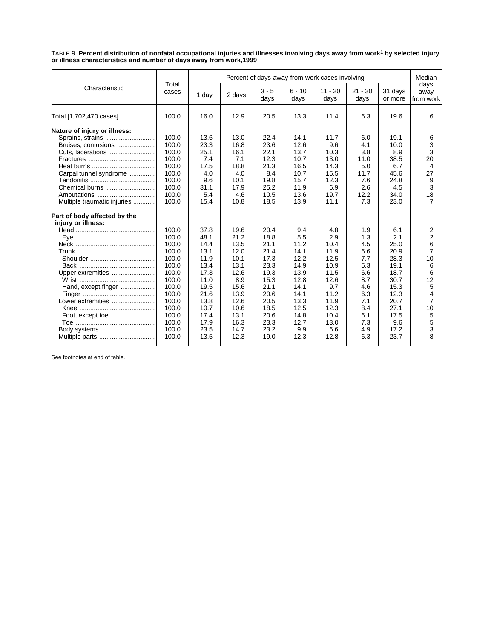TABLE 9. **Percent distribution of nonfatal occupational injuries and illnesses involving days away from work**1 **by selected injury or illness characteristics and number of days away from work,1999**

|                                                                                                                                                                                        |                                                                                                                                              |                                                                                                                              |                                                                                                                             |                                                                                                                              | Percent of days-away-from-work cases involving -                                                                          |                                                                                                                          |                                                                                                              | Median                                                                                                                    |                                                                                                                        |  |
|----------------------------------------------------------------------------------------------------------------------------------------------------------------------------------------|----------------------------------------------------------------------------------------------------------------------------------------------|------------------------------------------------------------------------------------------------------------------------------|-----------------------------------------------------------------------------------------------------------------------------|------------------------------------------------------------------------------------------------------------------------------|---------------------------------------------------------------------------------------------------------------------------|--------------------------------------------------------------------------------------------------------------------------|--------------------------------------------------------------------------------------------------------------|---------------------------------------------------------------------------------------------------------------------------|------------------------------------------------------------------------------------------------------------------------|--|
| Characteristic                                                                                                                                                                         | Total<br>cases                                                                                                                               | 1 day                                                                                                                        | 2 days                                                                                                                      | $3 - 5$<br>days                                                                                                              | $6 - 10$<br>days                                                                                                          | $11 - 20$<br>days                                                                                                        | $21 - 30$<br>days                                                                                            | 31 days<br>or more                                                                                                        | days<br>away<br>from work                                                                                              |  |
| Total [1,702,470 cases]                                                                                                                                                                | 100.0                                                                                                                                        | 16.0                                                                                                                         | 12.9                                                                                                                        | 20.5                                                                                                                         | 13.3                                                                                                                      | 11.4                                                                                                                     | 6.3                                                                                                          | 19.6                                                                                                                      | 6                                                                                                                      |  |
| Nature of injury or illness:<br>Sprains, strains<br>Bruises, contusions<br>Cuts, lacerations<br>Carpal tunnel syndrome<br>Chemical burns<br>Amputations<br>Multiple traumatic injuries | 100.0<br>100.0<br>100.0<br>100.0<br>100.0<br>100.0<br>100.0<br>100.0<br>100.0<br>100.0                                                       | 13.6<br>23.3<br>25.1<br>7.4<br>17.5<br>4.0<br>9.6<br>31.1<br>5.4<br>15.4                                                     | 13.0<br>16.8<br>16.1<br>7.1<br>18.8<br>4.0<br>10.1<br>17.9<br>4.6<br>10.8                                                   | 22.4<br>23.6<br>22.1<br>12.3<br>21.3<br>8.4<br>19.8<br>25.2<br>10.5<br>18.5                                                  | 14.1<br>12.6<br>13.7<br>10.7<br>16.5<br>10.7<br>15.7<br>11.9<br>13.6<br>13.9                                              | 11.7<br>9.6<br>10.3<br>13.0<br>14.3<br>15.5<br>12.3<br>6.9<br>19.7<br>11.1                                               | 6.0<br>4.1<br>3.8<br>11.0<br>5.0<br>11.7<br>7.6<br>2.6<br>12.2<br>7.3                                        | 19.1<br>10.0<br>8.9<br>38.5<br>6.7<br>45.6<br>24.8<br>4.5<br>34.0<br>23.0                                                 | 6<br>3<br>3<br>20<br>4<br>27<br>9<br>3<br>18<br>7                                                                      |  |
| Part of body affected by the<br>injury or illness:<br>Upper extremities<br>Hand, except finger<br>Lower extremities<br>Body systems<br>Multiple parts                                  | 100.0<br>100.0<br>100.0<br>100.0<br>100.0<br>100.0<br>100.0<br>100.0<br>100.0<br>100.0<br>100.0<br>100.0<br>100.0<br>100.0<br>100.0<br>100.0 | 37.8<br>48.1<br>14.4<br>13.1<br>11.9<br>13.4<br>17.3<br>11.0<br>19.5<br>21.6<br>13.8<br>10.7<br>17.4<br>17.9<br>23.5<br>13.5 | 19.6<br>21.2<br>13.5<br>12.0<br>10.1<br>13.1<br>12.6<br>8.9<br>15.6<br>13.9<br>12.6<br>10.6<br>13.1<br>16.3<br>14.7<br>12.3 | 20.4<br>18.8<br>21.1<br>21.4<br>17.3<br>23.3<br>19.3<br>15.3<br>21.1<br>20.6<br>20.5<br>18.5<br>20.6<br>23.3<br>23.2<br>19.0 | 9.4<br>5.5<br>11.2<br>14.1<br>12.2<br>14.9<br>13.9<br>12.8<br>14.1<br>14.1<br>13.3<br>12.5<br>14.8<br>12.7<br>9.9<br>12.3 | 4.8<br>2.9<br>10.4<br>11.9<br>12.5<br>10.9<br>11.5<br>12.6<br>9.7<br>11.2<br>11.9<br>12.3<br>10.4<br>13.0<br>6.6<br>12.8 | 1.9<br>1.3<br>4.5<br>6.6<br>7.7<br>5.3<br>6.6<br>8.7<br>4.6<br>6.3<br>7.1<br>8.4<br>6.1<br>7.3<br>4.9<br>6.3 | 6.1<br>2.1<br>25.0<br>20.9<br>28.3<br>19.1<br>18.7<br>30.7<br>15.3<br>12.3<br>20.7<br>27.1<br>17.5<br>9.6<br>17.2<br>23.7 | 2<br>$\overline{2}$<br>6<br>$\overline{7}$<br>10<br>6<br>6<br>12<br>5<br>4<br>$\overline{7}$<br>10<br>5<br>5<br>3<br>8 |  |

See footnotes at end of table.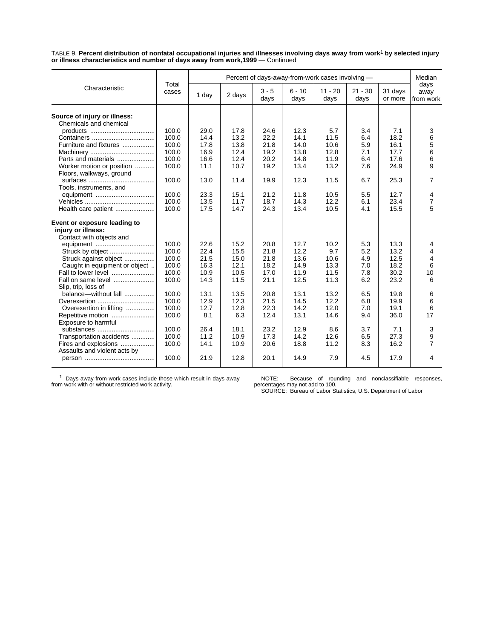TABLE 9. **Percent distribution of nonfatal occupational injuries and illnesses involving days away from work**1 **by selected injury or illness characteristics and number of days away from work,1999** — Continued

|                                                        | Percent of days-away-from-work cases involving - |       |        |                 |                  |                   |                   | Median             |                           |
|--------------------------------------------------------|--------------------------------------------------|-------|--------|-----------------|------------------|-------------------|-------------------|--------------------|---------------------------|
| Characteristic                                         | Total<br>cases                                   | 1 day | 2 days | $3 - 5$<br>days | $6 - 10$<br>days | $11 - 20$<br>days | $21 - 30$<br>days | 31 days<br>or more | days<br>away<br>from work |
|                                                        |                                                  |       |        |                 |                  |                   |                   |                    |                           |
| Source of injury or illness:<br>Chemicals and chemical |                                                  |       |        |                 |                  |                   |                   |                    |                           |
|                                                        | 100.0                                            | 29.0  | 17.8   | 24.6            | 12.3             | 5.7               | 3.4               | 7.1                | 3                         |
|                                                        | 100.0                                            | 14.4  | 13.2   | 22.2            | 14.1             | 11.5              | 6.4               | 18.2               | 6                         |
| Furniture and fixtures                                 | 100.0                                            | 17.8  | 13.8   | 21.8            | 14.0             | 10.6              | 5.9               | 16.1               | 5                         |
|                                                        | 100.0                                            | 16.9  | 12.4   | 19.2            | 13.8             | 12.8              | 7.1               | 17.7               |                           |
|                                                        | 100.0                                            | 16.6  | 12.4   |                 |                  |                   |                   | 17.6               | 6<br>6                    |
| Parts and materials                                    |                                                  |       |        | 20.2            | 14.8             | 11.9              | 6.4               |                    |                           |
| Worker motion or position                              | 100.0                                            | 11.1  | 10.7   | 19.2            | 13.4             | 13.2              | 7.6               | 24.9               | 9                         |
| Floors, walkways, ground                               |                                                  |       |        |                 |                  |                   |                   |                    |                           |
|                                                        | 100.0                                            | 13.0  | 11.4   | 19.9            | 12.3             | 11.5              | 6.7               | 25.3               | 7                         |
| Tools, instruments, and                                |                                                  |       |        |                 |                  |                   |                   |                    |                           |
| equipment                                              | 100.0                                            | 23.3  | 15.1   | 21.2            | 11.8             | 10.5              | 5.5               | 12.7               | 4                         |
|                                                        | 100.0                                            | 13.5  | 11.7   | 18.7            | 14.3             | 12.2              | 6.1               | 23.4               | 7                         |
| Health care patient                                    | 100.0                                            | 17.5  | 14.7   | 24.3            | 13.4             | 10.5              | 4.1               | 15.5               | 5                         |
| Event or exposure leading to                           |                                                  |       |        |                 |                  |                   |                   |                    |                           |
| injury or illness:                                     |                                                  |       |        |                 |                  |                   |                   |                    |                           |
| Contact with objects and                               |                                                  |       |        |                 |                  |                   |                   |                    |                           |
|                                                        | 100.0                                            | 22.6  | 15.2   | 20.8            | 12.7             | 10.2              | 5.3               | 13.3               | 4                         |
|                                                        | 100.0                                            | 22.4  | 15.5   | 21.8            | 12.2             | 9.7               | 5.2               | 13.2               | 4                         |
| Struck against object                                  | 100.0                                            | 21.5  | 15.0   | 21.8            | 13.6             | 10.6              | 4.9               | 12.5               | $\overline{4}$            |
| Caught in equipment or object                          | 100.0                                            | 16.3  | 12.1   | 18.2            | 14.9             | 13.3              | 7.0               | 18.2               | 6                         |
| Fall to lower level                                    | 100.0                                            | 10.9  | 10.5   | 17.0            | 11.9             | 11.5              | 7.8               | 30.2               | 10                        |
| Fall on same level                                     | 100.0                                            | 14.3  | 11.5   | 21.1            | 12.5             | 11.3              | 6.2               | 23.2               | 6                         |
| Slip, trip, loss of                                    |                                                  |       |        |                 |                  |                   |                   |                    |                           |
| balance-without fall                                   | 100.0                                            | 13.1  | 13.5   | 20.8            | 13.1             | 13.2              | 6.5               | 19.8               | 6                         |
| Overexertion                                           | 100.0                                            | 12.9  | 12.3   | 21.5            | 14.5             | 12.2              | 6.8               | 19.9               | 6                         |
| Overexertion in lifting                                | 100.0                                            | 12.7  | 12.8   | 22.3            | 14.2             | 12.0              | 7.0               | 19.1               | 6                         |
| Repetitive motion                                      | 100.0                                            | 8.1   | 6.3    | 12.4            | 13.1             | 14.6              | 9.4               | 36.0               | 17                        |
| Exposure to harmful                                    |                                                  |       |        |                 |                  |                   |                   |                    |                           |
| substances                                             | 100.0                                            | 26.4  | 18.1   | 23.2            | 12.9             | 8.6               | 3.7               | 7.1                | 3                         |
| Transportation accidents                               | 100.0                                            | 11.2  | 10.9   | 17.3            | 14.2             | 12.6              | 6.5               | 27.3               | 9                         |
| Fires and explosions                                   | 100.0                                            | 14.1  | 10.9   | 20.6            | 18.8             | 11.2              | 8.3               | 16.2               | $\overline{7}$            |
| Assaults and violent acts by                           |                                                  |       |        |                 |                  |                   |                   |                    |                           |
|                                                        | 100.0                                            | 21.9  | 12.8   | 20.1            | 14.9             | 7.9               | 4.5               | 17.9               | 4                         |
|                                                        |                                                  |       |        |                 |                  |                   |                   |                    |                           |

1 Days-away-from-work cases include those which result in days away from work with or without restricted work activity.

NOTE: Because of rounding and nonclassifiable responses, percentages may not add to 100. SOURCE: Bureau of Labor Statistics, U.S. Department of Labor